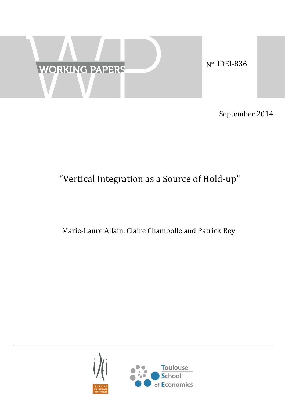

September 2014

# "Vertical Integration as a Source of Hold-up"

# Marie-Laure Allain, Claire Chambolle and Patrick Rey

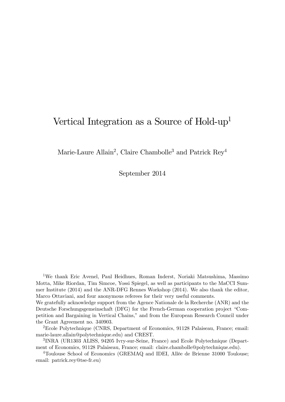# Vertical Integration as a Source of Hold-up<sup>1</sup>

Marie-Laure Allain<sup>2</sup>, Claire Chambolle<sup>3</sup> and Patrick Rey<sup>4</sup>

September 2014

1We thank Eric Avenel, Paul Heidhues, Roman Inderst, Noriaki Matsushima, Massimo Motta, Mike Riordan, Tim Simcoe, Yossi Spiegel, as well as participants to the MaCCI Summer Institute (2014) and the ANR-DFG Rennes Workshop (2014). We also thank the editor, Marco Ottaviani, and four anonymous referees for their very useful comments.

We gratefully acknowledge support from the Agence Nationale de la Recherche (ANR) and the Deutsche Forschungsgemeinschaft (DFG) for the French-German cooperation project "Competition and Bargaining in Vertical Chains," and from the European Research Council under the Grant Agreement no. 340903.

2Ecole Polytechnique (CNRS, Department of Economics, 91128 Palaiseau, France; email: marie-laure.allain@polytechnique.edu) and CREST.

3INRA (UR1303 ALISS, 94205 Ivry-sur-Seine, France) and Ecole Polytechnique (Department of Economics, 91128 Palaiseau, France; email: claire.chambolle@polytechnique.edu).

4Toulouse School of Economics (GREMAQ and IDEI, Allée de Brienne 31000 Toulouse; email: patrick.rey@tse-fr.eu)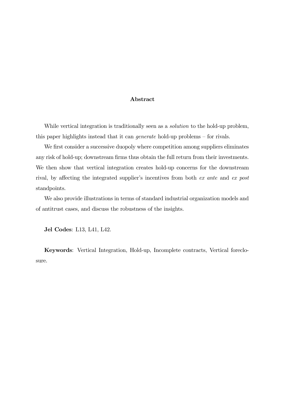#### Abstract

While vertical integration is traditionally seen as a *solution* to the hold-up problem, this paper highlights instead that it can generate hold-up problems — for rivals.

We first consider a successive duopoly where competition among suppliers eliminates any risk of hold-up; downstream firms thus obtain the full return from their investments. We then show that vertical integration creates hold-up concerns for the downstream rival, by affecting the integrated supplier's incentives from both ex ante and ex post standpoints.

We also provide illustrations in terms of standard industrial organization models and of antitrust cases, and discuss the robustness of the insights.

Jel Codes: L13, L41, L42.

Keywords: Vertical Integration, Hold-up, Incomplete contracts, Vertical foreclosure.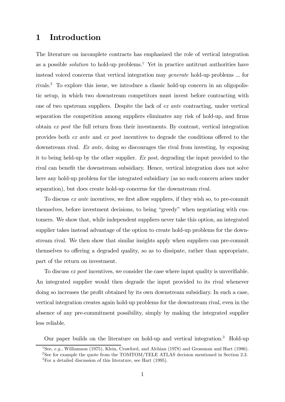## 1 Introduction

The literature on incomplete contracts has emphasized the role of vertical integration as a possible *solution* to hold-up problems.<sup>1</sup> Yet in practice antitrust authorities have instead voiced concerns that vertical integration may generate hold-up problems ... for rivals.2 To explore this issue, we introduce a classic hold-up concern in an oligopolistic setup, in which two downstream competitors must invest before contracting with one of two upstream suppliers. Despite the lack of ex ante contracting, under vertical separation the competition among suppliers eliminates any risk of hold-up, and firms obtain ex post the full return from their investments. By contrast, vertical integration provides both ex ante and ex post incentives to degrade the conditions offered to the downstream rival. Ex ante, doing so discourages the rival from investing, by exposing it to being held-up by the other supplier. Ex post, degrading the input provided to the rival can benefit the downstream subsidiary. Hence, vertical integration does not solve here any hold-up problem for the integrated subsidiary (as no such concern arises under separation), but does create hold-up concerns for the downstream rival.

To discuss ex ante incentives, we first allow suppliers, if they wish so, to pre-commit themselves, before investment decisions, to being "greedy" when negotiating with customers. We show that, while independent suppliers never take this option, an integrated supplier takes instead advantage of the option to create hold-up problems for the downstream rival. We then show that similar insights apply when suppliers can pre-commit themselves to offering a degraded quality, so as to dissipate, rather than appropriate, part of the return on investment.

To discuss ex post incentives, we consider the case where input quality is unverifiable. An integrated supplier would then degrade the input provided to its rival whenever doing so increases the profit obtained by its own downstream subsidiary. In such a case, vertical integration creates again hold-up problems for the downstream rival, even in the absence of any pre-commitment possibility, simply by making the integrated supplier less reliable.

Our paper builds on the literature on hold-up and vertical integration.3 Hold-up

<sup>&</sup>lt;sup>1</sup>See, *e.g.*, Williamson (1975), Klein, Crawford, and Alchian (1978) and Grossman and Hart (1986).

<sup>&</sup>lt;sup>2</sup>See for example the quote from the TOMTOM/TELE ATLAS decision mentioned in Section 2.3. 3For a detailed discussion of this literature, see Hart (1995).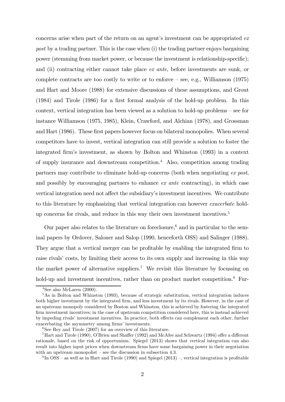concerns arise when part of the return on an agent's investment can be appropriated ex post by a trading partner. This is the case when (i) the trading partner enjoys bargaining power (stemming from market power, or because the investment is relationship-specific); and (ii) contracting either cannot take place ex ante, before investments are sunk, or complete contracts are too costly to write or to enforce — see, e.g., Williamson (1975) and Hart and Moore (1988) for extensive discussions of these assumptions, and Grout (1984) and Tirole (1986) for a first formal analysis of the hold-up problem. In this context, vertical integration has been viewed as a solution to hold-up problems — see for instance Williamson (1975, 1985), Klein, Crawford, and Alchian (1978), and Grossman and Hart (1986). These first papers however focus on bilateral monopolies. When several competitors have to invest, vertical integration can still provide a solution to foster the integrated firm's investment, as shown by Bolton and Whinston (1993) in a context of supply insurance and downstream competition.<sup>4</sup> Also, competition among trading partners may contribute to eliminate hold-up concerns (both when negotiating ex post, and possibly by encouraging partners to enhance ex ante contracting), in which case vertical integration need not affect the subsidiary's investment incentives. We contribute to this literature by emphasizing that vertical integration can however exacerbate holdup concerns for rivals, and reduce in this way their own investment incentives.<sup>5</sup>

Our paper also relates to the literature on foreclosure,<sup> $6$ </sup> and in particular to the seminal papers by Ordover, Saloner and Salop (1990, henceforth OSS) and Salinger (1988). They argue that a vertical merger can be profitable by enabling the integrated firm to raise rivals' costs, by limiting their access to its own supply and increasing in this way the market power of alternative suppliers.<sup>7</sup> We revisit this literature by focussing on hold-up and investment incentives, rather than on product market competition.<sup>8</sup> Fur-

 $4$ See also McLaren (2000).

<sup>&</sup>lt;sup>5</sup>As in Bolton and Whinston (1993), because of strategic substitution, vertical integration induces both higher investment by the integrated firm, and less investment by its rivals. However, in the case of an upstream monopoly considered by Boston and Whinston, this is achieved by fostering the integrated firm investment incentives; in the case of upstream competition considered here, this is instead achieved by impeding rivals' investment incentives. In practice, both effects can complement each other, further exacerbating the asymmetry among firms' investments.

 ${}^{6}$ See Rey and Tirole (2007) for an overview of this literature.

<sup>7</sup>Hart and Tirole (1990), O'Brien and Shaffer (1992) and McAfee and Schwartz (1994) offer a different rationale, based on the risk of opportunism. Spiegel (2013) shows that vertical integration can also result into higher input prices when downstream firms have some bargaining power in their negotiation with an upstream monopolist – see the discussion in subsection  $4.3$ .

 $8 \text{In OSS}$  – as well as in Hart and Tirole (1990) and Spiegel (2013) –, vertical integration is profitable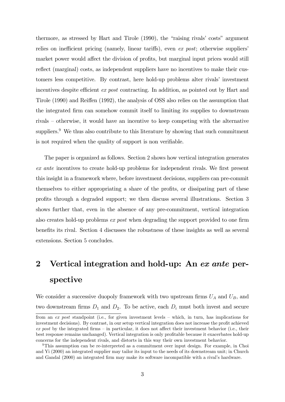thermore, as stressed by Hart and Tirole (1990), the "raising rivals' costs" argument relies on inefficient pricing (namely, linear tariffs), even ex post; otherwise suppliers' market power would affect the division of profits, but marginal input prices would still reflect (marginal) costs, as independent suppliers have no incentives to make their customers less competitive. By contrast, here hold-up problems alter rivals' investment incentives despite efficient *ex post* contracting. In addition, as pointed out by Hart and Tirole (1990) and Reiffen (1992), the analysis of OSS also relies on the assumption that the integrated firm can somehow commit itself to limiting its supplies to downstream rivals — otherwise, it would have an incentive to keep competing with the alternative suppliers.<sup>9</sup> We thus also contribute to this literature by showing that such commitment is not required when the quality of support is non verifiable.

The paper is organized as follows. Section 2 shows how vertical integration generates ex ante incentives to create hold-up problems for independent rivals. We first present this insight in a framework where, before investment decisions, suppliers can pre-commit themselves to either appropriating a share of the profits, or dissipating part of these profits through a degraded support; we then discuss several illustrations. Section 3 shows further that, even in the absence of any pre-commitment, vertical integration also creates hold-up problems ex post when degrading the support provided to one firm benefits its rival. Section 4 discusses the robustness of these insights as well as several extensions. Section 5 concludes.

# 2 Vertical integration and hold-up: An ex ante perspective

We consider a successive duopoly framework with two upstream firms  $U_A$  and  $U_B$ , and two downstream firms  $D_1$  and  $D_2$ . To be active, each  $D_i$  must both invest and secure

from an ex post standpoint (i.e., for given investment levels — which, in turn, has implications for investment decisions). By contrast, in our setup vertical integration does not increase the profit achieved  $ex$  post by the integrated firms – in particular, it does not affect their investment behavior (i.e., their best response remains unchanged). Vertical integration is only profitable because it exacerbates hold-up concerns for the independent rivals, and distorts in this way their own investment behavior.

<sup>9</sup>This assumption can be re-interpreted as a commitment over input design. For example, in Choi and Yi (2000) an integrated supplier may tailor its input to the needs of its downstream unit; in Church and Gandal (2000) an integrated firm may make its software incompatible with a rival's hardware.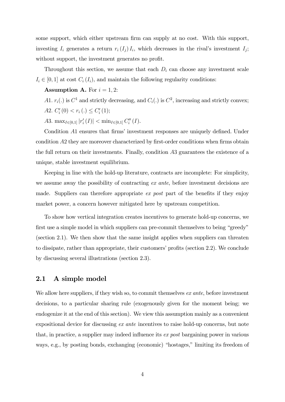some support, which either upstream firm can supply at no cost. With this support, investing  $I_i$  generates a return  $r_i(I_j) I_i$ , which decreases in the rival's investment  $I_j$ ; without support, the investment generates no profit.

Throughout this section, we assume that each  $D_i$  can choose any investment scale  $I_i \in [0,1]$  at cost  $C_i(I_i)$ , and maintain the following regularity conditions:

**Assumption A.** For  $i = 1, 2$ :

A1.  $r_i(.)$  is  $C^1$  and strictly decreasing, and  $C_i(.)$  is  $C^2$ , increasing and strictly convex;

A2.  $C_i'(0) < r_i(.) \leq C_i'(1);$ 

A3. max<sub> $I \in [0,1]$ </sub>  $|r'_{i}(I)| < \min_{I \in [0,1]} C''_{i}(I)$ .

Condition A1 ensures that firms' investment responses are uniquely defined. Under condition  $A2$  they are moreover characterized by first-order conditions when firms obtain the full return on their investments. Finally, condition  $A3$  guarantees the existence of a unique, stable investment equilibrium.

Keeping in line with the hold-up literature, contracts are incomplete: For simplicity, we assume away the possibility of contracting ex ante, before investment decisions are made. Suppliers can therefore appropriate  $ex$  post part of the benefits if they enjoy market power, a concern however mitigated here by upstream competition.

To show how vertical integration creates incentives to generate hold-up concerns, we first use a simple model in which suppliers can pre-commit themselves to being "greedy" (section 2.1). We then show that the same insight applies when suppliers can threaten to dissipate, rather than appropriate, their customers' profits (section 2.2). We conclude by discussing several illustrations (section 2.3).

#### 2.1 A simple model

We allow here suppliers, if they wish so, to commit themselves ex ante, before investment decisions, to a particular sharing rule (exogenously given for the moment being; we endogenize it at the end of this section). We view this assumption mainly as a convenient expositional device for discussing ex ante incentives to raise hold-up concerns, but note that, in practice, a supplier may indeed influence its ex post bargaining power in various ways, e.g., by posting bonds, exchanging (economic) "hostages," limiting its freedom of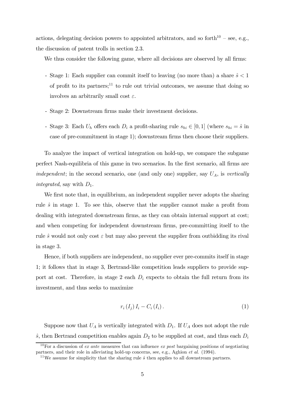actions, delegating decision powers to appointed arbitrators, and so forth<sup>10</sup> – see, e.g., the discussion of patent trolls in section 2.3.

We thus consider the following game, where all decisions are observed by all firms:

- Stage 1: Each supplier can commit itself to leaving (no more than) a share  $\hat{s} < 1$ of profit to its partners;<sup>11</sup> to rule out trivial outcomes, we assume that doing so involves an arbitrarily small cost  $\varepsilon$ .
- Stage 2: Downstream firms make their investment decisions.
- Stage 3: Each  $U_h$  offers each  $D_i$  a profit-sharing rule  $s_{hi} \in [0,1]$  (where  $s_{hi} = \hat{s}$  in case of pre-commitment in stage 1); downstream firms then choose their suppliers.

To analyze the impact of vertical integration on hold-up, we compare the subgame perfect Nash-equilibria of this game in two scenarios. In the first scenario, all firms are independent; in the second scenario, one (and only one) supplier, say  $U_A$ , is vertically integrated, say with  $D_1$ .

We first note that, in equilibrium, an independent supplier never adopts the sharing rule  $\hat{s}$  in stage 1. To see this, observe that the supplier cannot make a profit from dealing with integrated downstream firms, as they can obtain internal support at cost; and when competing for independent downstream firms, pre-committing itself to the rule  $\hat{s}$  would not only cost  $\varepsilon$  but may also prevent the supplier from outbidding its rival in stage 3.

Hence, if both suppliers are independent, no supplier ever pre-commits itself in stage 1; it follows that in stage 3, Bertrand-like competition leads suppliers to provide support at cost. Therefore, in stage 2 each  $D_i$  expects to obtain the full return from its investment, and thus seeks to maximize

$$
r_i(I_j) I_i - C_i(I_i). \tag{1}
$$

Suppose now that  $U_A$  is vertically integrated with  $D_1$ . If  $U_A$  does not adopt the rule  $\hat{s}$ , then Bertrand competition enables again  $D_2$  to be supplied at cost, and thus each  $D_i$ 

<sup>&</sup>lt;sup>10</sup>For a discussion of *ex ante* measures that can influence *ex post* bargaining positions of negotiating partners, and their role in alleviating hold-up concerns, see, e.g., Aghion et al. (1994).

<sup>&</sup>lt;sup>11</sup>We assume for simplicity that the sharing rule  $\hat{s}$  then applies to all downstream partners.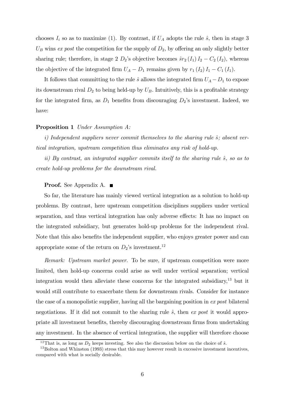chooses  $I_i$  so as to maximize (1). By contrast, if  $U_A$  adopts the rule  $\hat{s}$ , then in stage 3  $U_B$  wins ex post the competition for the supply of  $D_2$ , by offering an only slightly better sharing rule; therefore, in stage 2  $D_2$ 's objective becomes  $\hat{s}r_2(I_1)I_2 - C_2(I_2)$ , whereas the objective of the integrated firm  $U_A - D_1$  remains given by  $r_1 (I_2) I_1 - C_1 (I_1)$ .

It follows that committing to the rule  $\hat{s}$  allows the integrated firm  $U_A - D_1$  to expose its downstream rival  $D_2$  to being held-up by  $U_B$ . Intuitively, this is a profitable strategy for the integrated firm, as  $D_1$  benefits from discouraging  $D_2$ 's investment. Indeed, we have:

#### Proposition 1 Under Assumption A:

i) Independent suppliers never commit themselves to the sharing rule  $\hat{s}$ ; absent vertical integration, upstream competition thus eliminates any risk of hold-up.

ii) By contrast, an integrated supplier commits itself to the sharing rule  $\hat{s}$ , so as to create hold-up problems for the downstream rival.

#### Proof. See Appendix A. ■

So far, the literature has mainly viewed vertical integration as a solution to hold-up problems. By contrast, here upstream competition disciplines suppliers under vertical separation, and thus vertical integration has only adverse effects: It has no impact on the integrated subsidiary, but generates hold-up problems for the independent rival. Note that this also benefits the independent supplier, who enjoys greater power and can appropriate some of the return on  $D_2$ 's investment.<sup>12</sup>

Remark: Upstream market power. To be sure, if upstream competition were more limited, then hold-up concerns could arise as well under vertical separation; vertical integration would then alleviate these concerns for the integrated subsidiary,<sup>13</sup> but it would still contribute to exacerbate them for downstream rivals. Consider for instance the case of a monopolistic supplier, having all the bargaining position in ex post bilateral negotiations. If it did not commit to the sharing rule  $\hat{s}$ , then ex post it would appropriate all investment benefits, thereby discouraging downstream firms from undertaking any investment. In the absence of vertical integration, the supplier will therefore choose

<sup>&</sup>lt;sup>12</sup>That is, as long as  $D_2$  keeps investing. See also the discussion below on the choice of  $\hat{s}$ .<br><sup>13</sup>Bolton and Whinston (1993) stress that this may however result in excessive investment incentives, compared with what is socially desirable.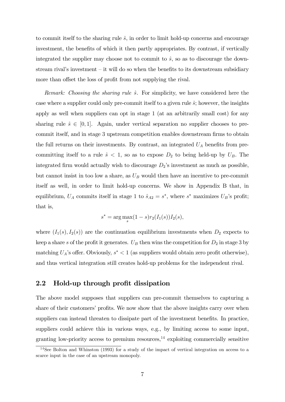to commit itself to the sharing rule  $\hat{s}$ , in order to limit hold-up concerns and encourage investment, the benefits of which it then partly appropriates. By contrast, if vertically integrated the supplier may choose not to commit to  $\hat{s}$ , so as to discourage the downstream rival's investment  $-$  it will do so when the benefits to its downstream subsidiary more than offset the loss of profit from not supplying the rival.

Remark: Choosing the sharing rule  $\hat{s}$ . For simplicity, we have considered here the case where a supplier could only pre-commit itself to a given rule  $\hat{s}$ ; however, the insights apply as well when suppliers can opt in stage 1 (at an arbitrarily small cost) for any sharing rule  $\hat{s} \in [0, 1]$ . Again, under vertical separation no supplier chooses to precommit itself, and in stage 3 upstream competition enables downstream firms to obtain the full returns on their investments. By contrast, an integrated  $U_A$  benefits from precommitting itself to a rule  $\hat{s}$  < 1, so as to expose  $D_2$  to being held-up by  $U_B$ . The integrated firm would actually wish to discourage  $D_2$ 's investment as much as possible, but cannot insist in too low a share, as  $U_B$  would then have an incentive to pre-commit itself as well, in order to limit hold-up concerns. We show in Appendix B that, in equilibrium,  $U_A$  commits itself in stage 1 to  $\hat{s}_{A2} = s^*$ , where  $s^*$  maximizes  $U_B$ 's profit; that is,

$$
s^* = \arg\max_s (1 - s) r_2(I_1(s)) I_2(s),
$$

where  $(I_1(s), I_2(s))$  are the continuation equilibrium investments when  $D_2$  expects to keep a share s of the profit it generates.  $U_B$  then wins the competition for  $D_2$  in stage 3 by matching  $U_A$ 's offer. Obviously,  $s^* < 1$  (as suppliers would obtain zero profit otherwise), and thus vertical integration still creates hold-up problems for the independent rival.

#### 2.2 Hold-up through profit dissipation

The above model supposes that suppliers can pre-commit themselves to capturing a share of their customers' profits. We now show that the above insights carry over when suppliers can instead threaten to dissipate part of the investment benefits. In practice, suppliers could achieve this in various ways, e.g., by limiting access to some input, granting low-priority access to premium resources,<sup>14</sup> exploiting commercially sensitive

 $14$ See Bolton and Whinston (1993) for a study of the impact of vertical integration on access to a scarce input in the case of an upstream monopoly.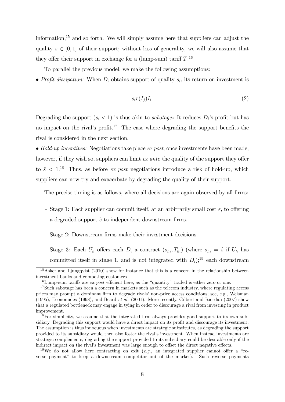information, $15$  and so forth. We will simply assume here that suppliers can adjust the quality  $s \in [0, 1]$  of their support; without loss of generality, we will also assume that they offer their support in exchange for a (lump-sum) tariff  $T$ .<sup>16</sup>

To parallel the previous model, we make the following assumptions:

• Profit dissipation: When  $D_i$  obtains support of quality  $s_i$ , its return on investment is

$$
s_i r(I_j) I_i. \tag{2}
$$

Degrading the support  $(s_i < 1)$  is thus akin to *sabotage*: It reduces  $D_i$ 's profit but has no impact on the rival's profit.<sup>17</sup> The case where degrading the support benefits the rival is considered in the next section.

• Hold-up incentives: Negotiations take place  $ex$  post, once investments have been made; however, if they wish so, suppliers can limit ex ante the quality of the support they offer to  $\hat{s}$  < 1.<sup>18</sup> Thus, as before *ex post* negotiations introduce a risk of hold-up, which suppliers can now try and exacerbate by degrading the quality of their support.

The precise timing is as follows, where all decisions are again observed by all firms:

- Stage 1: Each supplier can commit itself, at an arbitrarily small cost  $\varepsilon$ , to offering a degraded support  $\hat{s}$  to independent downstream firms.
- Stage 2: Downstream firms make their investment decisions.
- Stage 3: Each  $U_h$  offers each  $D_i$  a contract  $(s_{hi}, T_{hi})$  (where  $s_{hi} = \hat{s}$  if  $U_h$  has committed itself in stage 1, and is not integrated with  $D_i$ ;<sup>19</sup> each downstream

 $\frac{15}{15}$ Asker and Liungqvist (2010) show for instance that this is a concern in the relationship between investment banks and competing customers.

<sup>&</sup>lt;sup>16</sup>Lump-sum tariffs are *ex post* efficient here, as the "quantity" traded is either zero or one.

<sup>&</sup>lt;sup>17</sup>Such sabotage has been a concern in markets such as the telecom industry, where regulating access prices may prompt a dominant firm to degrade rivals' non-price access conditions; see, e.g., Weisman (1995), Economides (1998), and Beard et al. (2001). More recently, Gilbert and Riordan (2007) show that a regulated bottleneck may engage in tying in order to discourage a rival from investing in product improvement.

<sup>&</sup>lt;sup>18</sup>For simplicity, we assume that the integrated firm always provides good support to its own subsidiary. Degrading this support would have a direct impact on its profit and discourage its investment. The assumption is thus innocuous when investments are strategic substitutes, as degrading the support provided to its subsidiary would then also foster the rival's investment. When instead investments are strategic complements, degrading the support provided to its subsidiary could be desirable only if the indirect impact on the rival's investment was large enough to offset the direct negative effects.

<sup>&</sup>lt;sup>19</sup>We do not allow here contracting on exit (*e.g.*, an integrated supplier cannot offer a "reverse payment" to keep a downstream competitor out of the market). Such reverse payments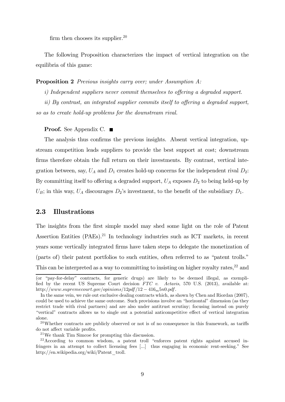firm then chooses its supplier.<sup>20</sup>

The following Proposition characterizes the impact of vertical integration on the equilibria of this game:

#### Proposition 2 Previous insights carry over; under Assumption A:

i) Independent suppliers never commit themselves to offering a degraded support.

ii) By contrast, an integrated supplier commits itself to offering a degraded support, so as to create hold-up problems for the downstream rival.

**Proof.** See Appendix C. ■

The analysis thus confirms the previous insights. Absent vertical integration, upstream competition leads suppliers to provide the best support at cost; downstream firms therefore obtain the full return on their investments. By contrast, vertical integration between, say,  $U_A$  and  $D_1$  creates hold-up concerns for the independent rival  $D_2$ : By committing itself to offering a degraded support,  $U_A$  exposes  $D_2$  to being held-up by  $U_B$ ; in this way,  $U_A$  discourages  $D_2$ 's investment, to the benefit of the subsidiary  $D_1$ .

#### 2.3 Illustrations

The insights from the first simple model may shed some light on the role of Patent Assertion Entities  $(PAEs).^{21}$  In technology industries such as ICT markets, in recent years some vertically integrated firms have taken steps to delegate the monetization of (parts of) their patent portfolios to such entities, often referred to as "patent trolls." This can be interpreted as a way to committing to insisting on higher royalty rates,<sup>22</sup> and

<sup>(</sup>or "pay-for-delay" contracts, for generic drugs) are likely to be deemed illegal, as exemplified by the recent US Supreme Court decision FTC v. Actavis, 570 U.S. (2013), available at: http://www.supremecourt.gov/opinions/12pdf/12 -  $416<sub>m</sub>5n0.pdf$ .

In the same vein, we rule out exclusive dealing contracts which, as shown by Chen and Riordan (2007), could be used to achieve the same outcome. Such provisions involve an "horizontal" dimension (as they restrict trade with rival partners) and are also under antitrust scrutiny; focusing instead on purely "vertical" contracts allows us to single out a potential anticompetitive effect of vertical integration alone.

 $20$ Whether contracts are publicly observed or not is of no consequence in this framework, as tariffs do not affect variable profits.

<sup>21</sup>We thank Tim Simcoe for prompting this discussion.

 $22$ According to common wisdom, a patent troll "enforces patent rights against accused infringers in an attempt to collect licensing fees [...] thus engaging in economic rent-seeking." See http://en.wikipedia.org/wiki/Patent\_troll.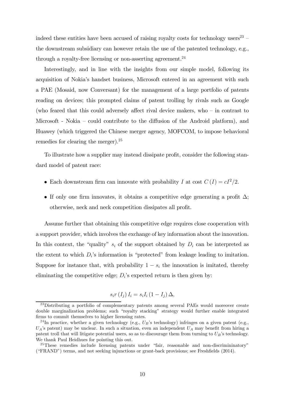indeed these entities have been accused of raising royalty costs for technology users<sup>23</sup> – the downstream subsidiary can however retain the use of the patented technology, e.g., through a royalty-free licensing or non-asserting agreement.<sup>24</sup>

Interestingly, and in line with the insights from our simple model, following its acquisition of Nokia's handset business, Microsoft entered in an agreement with such a PAE (Mosaid, now Conversant) for the management of a large portfolio of patents reading on devices; this prompted claims of patent trolling by rivals such as Google (who feared that this could adversely affect rival device makers, who — in contrast to Microsoft - Nokia — could contribute to the diffusion of the Android platform), and Huawey (which triggered the Chinese merger agency, MOFCOM, to impose behavioral remedies for clearing the merger).<sup>25</sup>

To illustrate how a supplier may instead dissipate profit, consider the following standard model of patent race:

- Each downstream firm can innovate with probability I at cost  $C(I) = cI^2/2$ .
- If only one firm innovates, it obtains a competitive edge generating a profit  $\Delta$ ; otherwise, neck and neck competition dissipates all profit.

Assume further that obtaining this competitive edge requires close cooperation with a support provider, which involves the exchange of key information about the innovation. In this context, the "quality"  $s_i$  of the support obtained by  $D_i$  can be interpreted as the extent to which  $D_i$ 's information is "protected" from leakage leading to imitation. Suppose for instance that, with probability  $1 - s_i$  the innovation is imitated, thereby eliminating the competitive edge;  $D_i$ 's expected return is then given by:

$$
s_i r(I_j) I_i = s_i I_i (1 - I_j) \Delta,
$$

<sup>&</sup>lt;sup>23</sup>Distributing a portfolio of complementary patents among several PAEs would moreover create double marginalization problems; such "royalty stacking" strategy would further enable integrated firms to commit themselves to higher licensing rates.

<sup>&</sup>lt;sup>24</sup>In practice, whether a given technology (e.g.,  $U_B$ 's technology) infringes on a given patent (e.g.,  $U_A$ 's patent) may be unclear. In such a situation, even an independent  $U_A$  may benefit from hiring a patent troll that will litigate potential users, so as to discourage them from turning to  $U_B$ 's technology. We thank Paul Heidhues for pointing this out.

<sup>&</sup>lt;sup>25</sup>These remedies include licensing patents under "fair, reasonable and non-discrimininatory" ("FRAND") terms, and not seeking injunctions or grant-back provisions; see Freshfields (2014).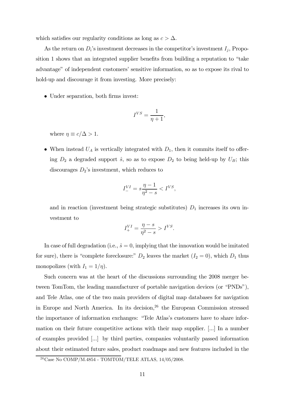which satisfies our regularity conditions as long as  $c > \Delta$ .

As the return on  $D_i$ 's investment decreases in the competitor's investment  $I_j$ , Proposition 1 shows that an integrated supplier benefits from building a reputation to "take advantage" of independent customers' sensitive information, so as to expose its rival to hold-up and discourage it from investing. More precisely:

• Under separation, both firms invest:

$$
I^{VS} = \frac{1}{\eta + 1},
$$

where  $\eta \equiv c/\Delta > 1$ .

• When instead  $U_A$  is vertically integrated with  $D_1$ , then it commits itself to offering  $D_2$  a degraded support  $\hat{s}$ , so as to expose  $D_2$  to being held-up by  $U_B$ ; this discourages  $D_2$ 's investment, which reduces to

$$
I_{-}^{VI} = s \frac{\eta - 1}{\eta^2 - s} < I^{VS},
$$

and in reaction (investment being strategic substitutes)  $D_1$  increases its own investment to

$$
I^{VI}_{+} = \frac{\eta - s}{\eta^2 - s} > I^{VS}.
$$

In case of full degradation (i.e.,  $\hat{s} = 0$ , implying that the innovation would be imitated for sure), there is "complete foreclosure:"  $D_2$  leaves the market  $(I_2 = 0)$ , which  $D_1$  thus monopolizes (with  $I_1 = 1/\eta$ ).

Such concern was at the heart of the discussions surrounding the 2008 merger between TomTom, the leading manufacturer of portable navigation devices (or "PNDs"), and Tele Atlas, one of the two main providers of digital map databases for navigation in Europe and North America. In its decision, $26$  the European Commission stressed the importance of information exchanges: "Tele Atlas's customers have to share information on their future competitive actions with their map supplier. [...] In a number of examples provided [...] by third parties, companies voluntarily passed information about their estimated future sales, product roadmaps and new features included in the

<sup>26</sup>Case No COMP/M.4854 - TOMTOM/TELE ATLAS, 14/05/2008.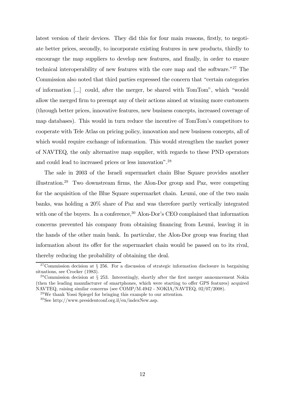latest version of their devices. They did this for four main reasons, firstly, to negotiate better prices, secondly, to incorporate existing features in new products, thirdly to encourage the map suppliers to develop new features, and finally, in order to ensure technical interoperability of new features with the core map and the software."27 The Commission also noted that third parties expressed the concern that "certain categories of information [...] could, after the merger, be shared with TomTom", which "would allow the merged firm to preempt any of their actions aimed at winning more customers (through better prices, innovative features, new business concepts, increased coverage of map databases). This would in turn reduce the incentive of TomTom's competitors to cooperate with Tele Atlas on pricing policy, innovation and new business concepts, all of which would require exchange of information. This would strengthen the market power of NAVTEQ, the only alternative map supplier, with regards to these PND operators and could lead to increased prices or less innovation".28

The sale in 2003 of the Israeli supermarket chain Blue Square provides another illustration.29 Two downstream firms, the Alon-Dor group and Paz, were competing for the acquisition of the Blue Square supermarket chain. Leumi, one of the two main banks, was holding a 20% share of Paz and was therefore partly vertically integrated with one of the buyers. In a conference,  $30$  Alon-Dor's CEO complained that information concerns prevented his company from obtaining financing from Leumi, leaving it in the hands of the other main bank. In particular, the Alon-Dor group was fearing that information about its offer for the supermarket chain would be passed on to its rival, thereby reducing the probability of obtaining the deal.

 $27$ Commission decision at § 256. For a discussion of strategic information disclosure in bargaining situations, see Crocker (1983).

<sup>&</sup>lt;sup>28</sup>Commission decision at  $\S$  253. Interestingly, shortly after the first merger announcement Nokia (then the leading manufacturer of smartphones, which were starting to offer GPS features) acquired NAVTEQ, raising similar concerns (see COMP/M.4942 - NOKIA/NAVTEQ, 02/07/2008).

<sup>29</sup>We thank Yossi Spiegel for bringing this example to our attention.

<sup>30</sup>See http://www.presidentconf.org.il/en/indexNew.asp.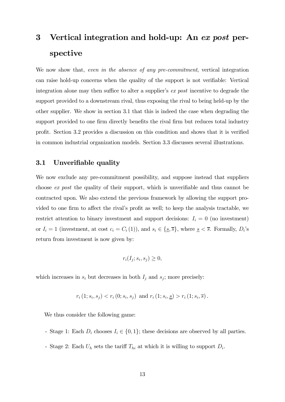# 3 Vertical integration and hold-up: An ex post perspective

We now show that, even in the absence of any pre-commitment, vertical integration can raise hold-up concerns when the quality of the support is not verifiable: Vertical integration alone may then suffice to alter a supplier's ex post incentive to degrade the support provided to a downstream rival, thus exposing the rival to being held-up by the other supplier. We show in section 3.1 that this is indeed the case when degrading the support provided to one firm directly benefits the rival firm but reduces total industry profit. Section 3.2 provides a discussion on this condition and shows that it is verified in common industrial organization models. Section 3.3 discusses several illustrations.

#### 3.1 Unverifiable quality

We now exclude any pre-commitment possibility, and suppose instead that suppliers choose ex post the quality of their support, which is unverifiable and thus cannot be contracted upon. We also extend the previous framework by allowing the support provided to one firm to affect the rival's profit as well; to keep the analysis tractable, we restrict attention to binary investment and support decisions:  $I_i = 0$  (no investment) or  $I_i = 1$  (investment, at cost  $c_i = C_i(1)$ ), and  $s_i \in \{\underline{s}, \overline{s}\}\text{, where } \underline{s} < \overline{s}\text{. Formally, } D_i$ 's return from investment is now given by:

$$
r_i(I_j; s_i, s_j) \ge 0,
$$

which increases in  $s_i$  but decreases in both  $I_j$  and  $s_j$ ; more precisely:

$$
r_i (1; s_i, s_j) < r_i (0; s_i, s_j)
$$
 and  $r_i (1; s_i, s) > r_i (1; s_i, \overline{s})$ .

We thus consider the following game:

- Stage 1: Each  $D_i$  chooses  $I_i \in \{0,1\}$ ; these decisions are observed by all parties.
- Stage 2: Each  $U_h$  sets the tariff  $T_{hi}$  at which it is willing to support  $D_i$ .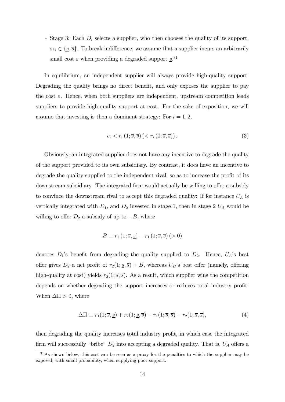- Stage 3: Each  $D_i$  selects a supplier, who then chooses the quality of its support,  $s_{hi} \in \{\underline{s}, \overline{s}\}.$  To break indifference, we assume that a supplier incurs an arbitrarily small cost  $\varepsilon$  when providing a degraded support  $\underline{s}$ .<sup>31</sup>

In equilibrium, an independent supplier will always provide high-quality support: Degrading the quality brings no direct benefit, and only exposes the supplier to pay the cost  $\varepsilon$ . Hence, when both suppliers are independent, upstream competition leads suppliers to provide high-quality support at cost. For the sake of exposition, we will assume that investing is then a dominant strategy: For  $i = 1, 2$ ,

$$
c_i < r_i\left(1; \overline{s}, \overline{s}\right) \left( \langle r_i\left(0; \overline{s}, \overline{s}\right) \right). \tag{3}
$$

Obviously, an integrated supplier does not have any incentive to degrade the quality of the support provided to its own subsidiary. By contrast, it does have an incentive to degrade the quality supplied to the independent rival, so as to increase the profit of its downstream subsidiary. The integrated firm would actually be willing to offer a subsidy to convince the downstream rival to accept this degraded quality: If for instance  $U_A$  is vertically integrated with  $D_1$ , and  $D_2$  invested in stage 1, then in stage 2  $U_A$  would be willing to offer  $D_2$  a subsidy of up to  $-B$ , where

$$
B \equiv r_1(1; \overline{s}, \underline{s}) - r_1(1; \overline{s}, \overline{s}) \, (> 0)
$$

denotes  $D_1$ 's benefit from degrading the quality supplied to  $D_2$ . Hence,  $U_A$ 's best offer gives  $D_2$  a net profit of  $r_2(1; \underline{s}, \overline{s}) + B$ , whereas  $U_B$ 's best offer (namely, offering high-quality at cost) yields  $r_2(1; \overline{s}, \overline{s})$ . As a result, which supplier wins the competition depends on whether degrading the support increases or reduces total industry profit: When  $\Delta \Pi > 0$ , where

$$
\Delta \Pi \equiv r_1(1; \overline{s}, \underline{s}) + r_2(1; \underline{s}, \overline{s}) - r_1(1; \overline{s}, \overline{s}) - r_2(1; \overline{s}, \overline{s}), \tag{4}
$$

then degrading the quality increases total industry profit, in which case the integrated firm will successfully "bribe"  $D_2$  into accepting a degraded quality. That is,  $U_A$  offers a

 $31\text{As}$  shown below, this cost can be seen as a proxy for the penalties to which the supplier may be exposed, with small probability, when supplying poor support.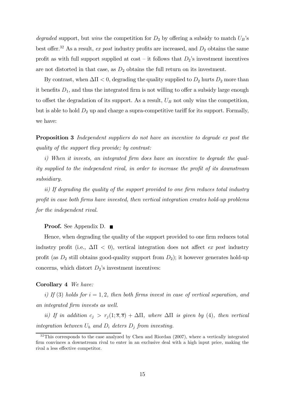degraded support, but wins the competition for  $D_2$  by offering a subsidy to match  $U_B$ 's best offer.<sup>32</sup> As a result, ex post industry profits are increased, and  $D_2$  obtains the same profit as with full support supplied at  $\cos t - i t$  follows that  $D_2$ 's investment incentives are not distorted in that case, as  $D_2$  obtains the full return on its investment.

By contrast, when  $\Delta \Pi < 0$ , degrading the quality supplied to  $D_2$  hurts  $D_2$  more than it benefits  $D_1$ , and thus the integrated firm is not willing to offer a subsidy large enough to offset the degradation of its support. As a result,  $U_B$  not only wins the competition, but is able to hold  $D_2$  up and charge a supra-competitive tariff for its support. Formally, we have:

Proposition 3 Independent suppliers do not have an incentive to degrade ex post the quality of the support they provide; by contrast:

i) When it invests, an integrated firm does have an incentive to degrade the quality supplied to the independent rival, in order to increase the profit of its downstream subsidiary.

ii) If degrading the quality of the support provided to one firm reduces total industry profit in case both firms have invested, then vertical integration creates hold-up problems for the independent rival.

**Proof.** See Appendix D. ■

Hence, when degrading the quality of the support provided to one firm reduces total industry profit (i.e.,  $\Delta \Pi$  < 0), vertical integration does not affect ex post industry profit (as  $D_2$  still obtains good-quality support from  $D_2$ ); it however generates hold-up concerns, which distort  $D_2$ 's investment incentives:

#### Corollary 4 We have:

i) If (3) holds for  $i = 1, 2$ , then both firms invest in case of vertical separation, and an integrated firm invests as well.

ii) If in addition  $c_j > r_j(1; \overline{s}, \overline{s}) + \Delta \Pi$ , where  $\Delta \Pi$  is given by (4), then vertical integration between  $U_h$  and  $D_i$  deters  $D_j$  from investing.

 $32$ This corresponds to the case analyzed by Chen and Riordan (2007), where a vertically integrated firm convinces a downstream rival to enter in an exclusive deal with a high input price, making the rival a less effective competitor.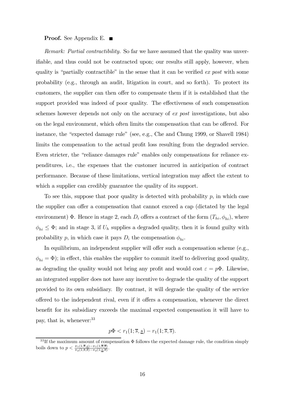#### **Proof.** See Appendix E. ■

Remark: Partial contractibility. So far we have assumed that the quality was unverifiable, and thus could not be contracted upon; our results still apply, however, when quality is "partially contractible" in the sense that it can be verified ex post with some probability (e.g., through an audit, litigation in court, and so forth). To protect its customers, the supplier can then offer to compensate them if it is established that the support provided was indeed of poor quality. The effectiveness of such compensation schemes however depends not only on the accuracy of ex post investigations, but also on the legal environment, which often limits the compensation that can be offered. For instance, the "expected damage rule" (see, e.g., Che and Chung 1999, or Shavell 1984) limits the compensation to the actual profit loss resulting from the degraded service. Even stricter, the "reliance damages rule" enables only compensations for reliance expenditures, i.e., the expenses that the customer incurred in anticipation of contract performance. Because of these limitations, vertical integration may affect the extent to which a supplier can credibly guarantee the quality of its support.

To see this, suppose that poor quality is detected with probability  $p$ , in which case the supplier can offer a compensation that cannot exceed a cap (dictated by the legal environment)  $\Phi$ . Hence in stage 2, each  $D_i$  offers a contract of the form  $(T_{hi}, \phi_{hi})$ , where  $\phi_{hi} \leq \Phi$ ; and in stage 3, if  $U_h$  supplies a degraded quality, then it is found guilty with probability p, in which case it pays  $D_i$  the compensation  $\phi_{hi}$ .

In equilibrium, an independent supplier will offer such a compensation scheme (e.g.,  $\phi_{hi} = \Phi$ ); in effect, this enables the supplier to commit itself to delivering good quality, as degrading the quality would not bring any profit and would cost  $\varepsilon = p\Phi$ . Likewise, an integrated supplier does not have any incentive to degrade the quality of the support provided to its own subsidiary. By contrast, it will degrade the quality of the service offered to the independent rival, even if it offers a compensation, whenever the direct benefit for its subsidiary exceeds the maximal expected compensation it will have to pay, that is, whenever:  $33$ 

$$
p\Phi < r_1(1;\overline{s},\underline{s}) - r_1(1;\overline{s},\overline{s}).
$$

 $33$  If the maximum amount of compensation  $\Phi$  follows the expected damage rule, the condition simply boils down to  $p < \frac{\pi_1(1;\overline{s},\underline{s}) - \pi_1(1;\overline{s},\overline{s})}{\pi_2(1;\overline{s},\overline{s}) - \pi_2(1;\underline{s},\overline{s})}$ .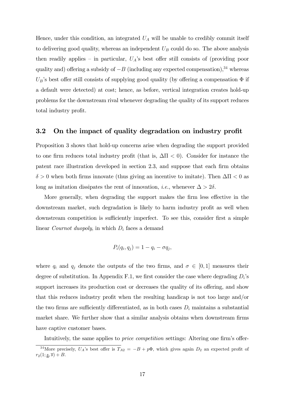Hence, under this condition, an integrated  $U_A$  will be unable to credibly commit itself to delivering good quality, whereas an independent  $U_B$  could do so. The above analysis then readily applies – in particular,  $U_A$ 's best offer still consists of (providing poor quality and) offering a subsidy of  $-B$  (including any expected compensation),<sup>34</sup> whereas  $U_B$ 's best offer still consists of supplying good quality (by offering a compensation  $\Phi$  if a default were detected) at cost; hence, as before, vertical integration creates hold-up problems for the downstream rival whenever degrading the quality of its support reduces total industry profit.

#### 3.2 On the impact of quality degradation on industry profit

Proposition 3 shows that hold-up concerns arise when degrading the support provided to one firm reduces total industry profit (that is,  $\Delta \Pi < 0$ ). Consider for instance the patent race illustration developed in section 2.3, and suppose that each firm obtains  $\delta > 0$  when both firms innovate (thus giving an incentive to imitate). Then  $\Delta \Pi < 0$  as long as imitation dissipates the rent of innovation, *i.e.*, whenever  $\Delta > 2\delta$ .

More generally, when degrading the support makes the firm less effective in the downstream market, such degradation is likely to harm industry profit as well when downstream competition is sufficiently imperfect. To see this, consider first a simple linear Cournot duopoly, in which  $D_i$  faces a demand

$$
P_i(q_i, q_j) = 1 - q_i - \sigma q_j,
$$

where  $q_i$  and  $q_j$  denote the outputs of the two firms, and  $\sigma \in [0,1]$  measures their degree of substitution. In Appendix F.1, we first consider the case where degrading  $D_i$ 's support increases its production cost or decreases the quality of its offering, and show that this reduces industry profit when the resulting handicap is not too large and/or the two firms are sufficiently differentiated, as in both cases  $D_i$  maintains a substantial market share. We further show that a similar analysis obtains when downstream firms have captive customer bases.

Intuitively, the same applies to *price competition* settings: Altering one firm's offer-

<sup>&</sup>lt;sup>34</sup>More precisely,  $U_A$ 's best offer is  $T_{A2} = -B + p\Phi$ , which gives again  $D_2$  an expected profit of  $r_2(1; \underline{s}, \overline{s}) + B.$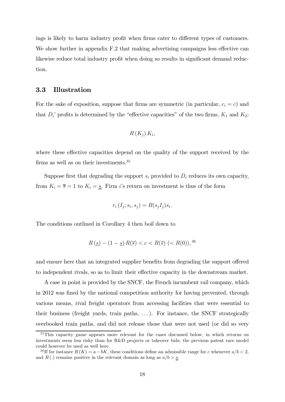ings is likely to harm industry profit when firms cater to different types of customers. We show further in appendix F.2 that making advertising campaigns less effective can likewise reduce total industry profit when doing so results in significant demand reduction.

#### 3.3 Illustration

For the sake of exposition, suppose that firms are symmetric (in particular,  $c_i = c$ ) and that  $D_i$ ' profits is determined by the "effective capacities" of the two firms,  $K_1$  and  $K_2$ :

$$
R(K_j) K_i,
$$

where these effective capacities depend on the quality of the support received by the firms as well as on their investments.<sup>35</sup>

Suppose first that degrading the support  $s_i$  provided to  $D_i$  reduces its own capacity, from  $K_i = \overline{s} = 1$  to  $K_i = \underline{s}$ . Firm *i*'s return on investment is thus of the form

$$
r_i(I_j; s_i, s_j) = R(s_j I_j) s_i.
$$

The conditions outlined in Corollary 4 then boil down to

$$
R(\underline{s}) - (1 - \underline{s}) R(\overline{s}) < c < R(\overline{s}) \ < R(0)),^{36}
$$

and ensure here that an integrated supplier benefits from degrading the support offered to independent rivals, so as to limit their effective capacity in the downstream market.

A case in point is provided by the SNCF, the French incumbent rail company, which in 2012 was fined by the national competition authority for having prevented, through various means, rival freight operators from accessing facilities that were essential to their business (freight yards, train paths, . . . ). For instance, the SNCF strategically overbooked train paths, and did not release those that were not used (or did so very

<sup>&</sup>lt;sup>35</sup>This capacity game appears more relevant for the cases discussed below, in which returns on investments seem less risky than for R&D projects or takeover bids; the previous patent race model could however be used as well here.

<sup>&</sup>lt;sup>36</sup> If for instance  $R(K) = a - bK$ , these conditions define an admissible range for c whenever  $a/b < 2$ , and  $R(.)$  remains positive in the relevant domain as long as  $a/b > s$ .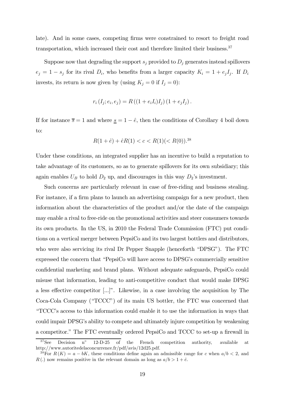late). And in some cases, competing firms were constrained to resort to freight road transportation, which increased their cost and therefore limited their business.<sup>37</sup>

Suppose now that degrading the support  $s_i$  provided to  $D_i$  generates instead spillovers  $e_j = 1 - s_j$  for its rival  $D_i$ , who benefits from a larger capacity  $K_i = 1 + e_j I_j$ . If  $D_i$ invests, its return is now given by (using  $K_j = 0$  if  $I_j = 0$ ):

$$
r_i (I_j; e_i, e_j) = R ((1 + e_i I_i) I_j) (1 + e_j I_j).
$$

If for instance  $\bar{s} = 1$  and where  $\underline{s} = 1 - \hat{e}$ , then the conditions of Corollary 4 boil down to:

$$
R(1+\hat{e}) + \hat{e}R(1) < c < R(1)(< R(0)).^{38}
$$

Under these conditions, an integrated supplier has an incentive to build a reputation to take advantage of its customers, so as to generate spillovers for its own subsidiary; this again enables  $U_B$  to hold  $D_2$  up, and discourages in this way  $D_2$ 's investment.

Such concerns are particularly relevant in case of free-riding and business stealing. For instance, if a firm plans to launch an advertising campaign for a new product, then information about the characteristics of the product and/or the date of the campaign may enable a rival to free-ride on the promotional activities and steer consumers towards its own products. In the US, in 2010 the Federal Trade Commission (FTC) put conditions on a vertical merger between PepsiCo and its two largest bottlers and distributors, who were also servicing its rival Dr Pepper Snapple (henceforth "DPSG"). The FTC expressed the concern that "PepsiCo will have access to DPSG's commercially sensitive confidential marketing and brand plans. Without adequate safeguards, PepsiCo could misuse that information, leading to anti-competitive conduct that would make DPSG a less effective competitor [...]". Likewise, in a case involving the acquisition by The Coca-Cola Company ("TCCC") of its main US bottler, the FTC was concerned that "TCCC's access to this information could enable it to use the information in ways that could impair DPSG's ability to compete and ultimately injure competition by weakening a competitor." The FTC eventually ordered PepsiCo and TCCC to set-up a firewall in

 $37$ See Decision n<sup>o</sup> 12-D-25 of the French competition authority, available at http://www.autoritedelaconcurrence.fr/pdf/avis/12d25.pdf.

<sup>&</sup>lt;sup>38</sup>For  $R(K) = a - bK$ , these conditions define again an admissible range for c when  $a/b < 2$ , and  $R(.)$  now remains positive in the relevant domain as long as  $a/b > 1 + \hat{e}$ .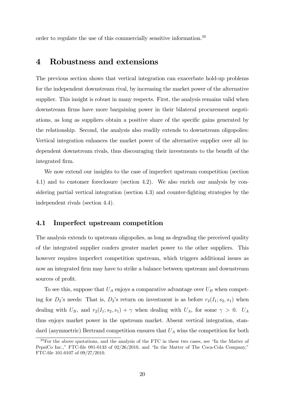order to regulate the use of this commercially sensitive information.<sup>39</sup>

## 4 Robustness and extensions

The previous section shows that vertical integration can exacerbate hold-up problems for the independent downstream rival, by increasing the market power of the alternative supplier. This insight is robust in many respects. First, the analysis remains valid when downstream firms have more bargaining power in their bilateral procurement negotiations, as long as suppliers obtain a positive share of the specific gains generated by the relationship. Second, the analysis also readily extends to downstream oligopolies: Vertical integration enhances the market power of the alternative supplier over all independent downstream rivals, thus discouraging their investments to the benefit of the integrated firm.

We now extend our insights to the case of imperfect upstream competition (section 4.1) and to customer foreclosure (section 4.2). We also enrich our analysis by considering partial vertical integration (section 4.3) and counter-fighting strategies by the independent rivals (section 4.4).

#### 4.1 Imperfect upstream competition

The analysis extends to upstream oligopolies, as long as degrading the perceived quality of the integrated supplier confers greater market power to the other suppliers. This however requires imperfect competition upstream, which triggers additional issues as now an integrated firm may have to strike a balance between upstream and downstream sources of profit.

To see this, suppose that  $U_A$  enjoys a comparative advantage over  $U_B$  when competing for  $D_2$ 's needs: That is,  $D_2$ 's return on investment is as before  $r_2(I_1; s_2, s_1)$  when dealing with  $U_B$ , and  $r_2(I_1; s_2, s_1) + \gamma$  when dealing with  $U_A$ , for some  $\gamma > 0$ .  $U_A$ thus enjoys market power in the upstream market. Absent vertical integration, standard (asymmetric) Bertrand competition ensures that  $U_A$  wins the competition for both

<sup>&</sup>lt;sup>39</sup>For the above quotations, and the analysis of the FTC in these two cases, see "In the Matter of PepsiCo Inc.," FTC-file 091-0133 of 02/26/2010, and "In the Matter of The Coca-Cola Company," FTC-file 101-0107 of 09/27/2010.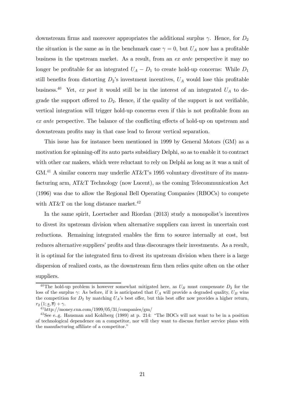downstream firms and moreover appropriates the additional surplus  $\gamma$ . Hence, for  $D_2$ the situation is the same as in the benchmark case  $\gamma = 0$ , but  $U_A$  now has a profitable business in the upstream market. As a result, from an ex ante perspective it may no longer be profitable for an integrated  $U_A - D_1$  to create hold-up concerns: While  $D_1$ still benefits from distorting  $D_2$ 's investment incentives,  $U_A$  would lose this profitable business.<sup>40</sup> Yet, ex post it would still be in the interest of an integrated  $U_A$  to degrade the support offered to  $D_2$ . Hence, if the quality of the support is not verifiable, vertical integration will trigger hold-up concerns even if this is not profitable from an ex ante perspective. The balance of the conflicting effects of hold-up on upstream and downstream profits may in that case lead to favour vertical separation.

This issue has for instance been mentioned in 1999 by General Motors (GM) as a motivation for spinning-off its auto parts subsidiary Delphi, so as to enable it to contract with other car makers, which were reluctant to rely on Delphi as long as it was a unit of GM.41 A similar concern may underlie AT&T's 1995 voluntary divestiture of its manufacturing arm, AT&T Technology (now Lucent), as the coming Telecommunication Act (1996) was due to allow the Regional Bell Operating Companies (RBOCs) to compete with AT&T on the long distance market.<sup>42</sup>

In the same spirit, Loertscher and Riordan (2013) study a monopolist's incentives to divest its upstream division when alternative suppliers can invest in uncertain cost reductions. Remaining integrated enables the firm to source internally at cost, but reduces alternative suppliers' profits and thus discourages their investments. As a result, it is optimal for the integrated firm to divest its upstream division when there is a large dispersion of realized costs, as the downstream firm then relies quite often on the other suppliers.

<sup>&</sup>lt;sup>40</sup>The hold-up problem is however somewhat mitigated here, as  $U_B$  must compensate  $D_2$  for the loss of the surplus  $\gamma$ : As before, if it is anticipated that  $U_A$  will provide a degraded quality,  $U_B$  wins the competition for  $D_2$  by matching  $U_A$ 's best offer, but this best offer now provides a higher return,  $r_2$  (1;  $\leq$ ,  $\overline{s}$ ) +  $\gamma$ .<br><sup>41</sup>http://money.cnn.com/1999/05/31/companies/gm/

 $42$ See e.g. Hausman and Kohlberg (1989) at p. 214: "The BOCs will not want to be in a position of technological dependence on a competitor, nor will they want to discuss further service plans with the manufacturing affiliate of a competitor."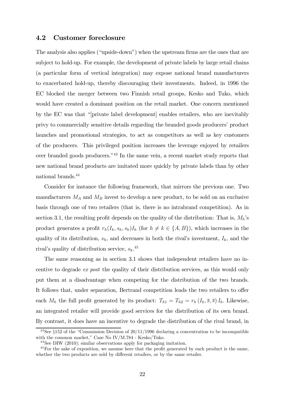#### 4.2 Customer foreclosure

The analysis also applies ("upside-down") when the upstream firms are the ones that are subject to hold-up. For example, the development of private labels by large retail chains (a particular form of vertical integration) may expose national brand manufacturers to exacerbated hold-up, thereby discouraging their investments. Indeed, in 1996 the EC blocked the merger between two Finnish retail groups, Kesko and Tuko, which would have created a dominant position on the retail market. One concern mentioned by the EC was that "[private label development] enables retailers, who are inevitably privy to commercially sensitive details regarding the branded goods producers' product launches and promotional strategies, to act as competitors as well as key customers of the producers. This privileged position increases the leverage enjoyed by retailers over branded goods producers."43 In the same vein, a recent market study reports that new national brand products are imitated more quickly by private labels than by other national brands.44

Consider for instance the following framework, that mirrors the previous one. Two manufacturers  $M_A$  and  $M_B$  invest to develop a new product, to be sold on an exclusive basis through one of two retailers (that is, there is no intrabrand competition). As in section 3.1, the resulting profit depends on the quality of the distribution: That is,  $M_h$ 's product generates a profit  $r_h(I_k, s_h, s_k)I_h$  (for  $h \neq k \in \{A, B\}$ ), which increases in the quality of its distribution,  $s_h$ , and decreases in both the rival's investment,  $I_k$ , and the rival's quality of distribution service,  $s_k$ <sup>45</sup>

The same reasoning as in section 3.1 shows that independent retailers have no incentive to degrade ex post the quality of their distribution services, as this would only put them at a disadvantage when competing for the distribution of the two brands. It follows that, under separation, Bertrand competition leads the two retailers to offer each  $M_h$  the full profit generated by its product:  $T_{h1} = T_{h2} = r_h (I_k, \overline{s}, \overline{s}) I_h$ . Likewise, an integrated retailer will provide good services for the distribution of its own brand. By contrast, it does have an incentive to degrade the distribution of the rival brand, in

 $43$ See §152 of the "Commission Decision of  $20/11/1996$  declaring a concentration to be incompatible with the common market," Case No IV/M.784 - Kesko/Tuko.

<sup>44</sup>See DIW (2010); similar observations apply for packaging imitation.

<sup>&</sup>lt;sup>45</sup>For the sake of exposition, we assume here that the profit generated by each product is the same, whether the two products are sold by different retailers, or by the same retailer.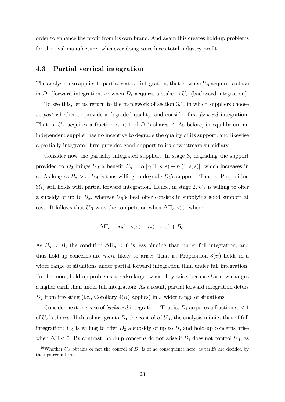order to enhance the profit from its own brand. And again this creates hold-up problems for the rival manufacturer whenever doing so reduces total industry profit.

#### 4.3 Partial vertical integration

The analysis also applies to partial vertical integration, that is, when  $U_A$  acquires a stake in  $D_1$  (forward integration) or when  $D_1$  acquires a stake in  $U_A$  (backward integration).

To see this, let us return to the framework of section 3.1, in which suppliers choose ex post whether to provide a degraded quality, and consider first forward integration: That is,  $U_A$  acquires a fraction  $\alpha < 1$  of  $D_1$ 's shares.<sup>46</sup> As before, in equilibrium an independent supplier has no incentive to degrade the quality of its support, and likewise a partially integrated firm provides good support to its downstream subsidiary.

Consider now the partially integrated supplier. In stage 3, degrading the support provided to  $D_2$  brings  $U_A$  a benefit  $B_\alpha = \alpha [r_1(1; \overline{s}, \underline{s}) - r_1(1; \overline{s}, \overline{s})]$ , which increases in  $\alpha$ . As long as  $B_{\alpha} > \varepsilon$ ,  $U_A$  is thus willing to degrade  $D_2$ 's support: That is, Proposition  $3(i)$  still holds with partial forward integration. Hence, in stage 2,  $U_A$  is willing to offer a subsidy of up to  $B_{\alpha}$ , whereas  $U_B$ 's best offer consists in supplying good support at cost. It follows that  $U_B$  wins the competition when  $\Delta \Pi_\alpha < 0$ , where

$$
\Delta \Pi_{\alpha} \equiv r_2(1; \underline{s}, \overline{s}) - r_2(1; \overline{s}, \overline{s}) + B_{\alpha}.
$$

As  $B_{\alpha} < B$ , the condition  $\Delta \Pi_{\alpha} < 0$  is less binding than under full integration, and thus hold-up concerns are *more* likely to arise: That is, Proposition  $3(ii)$  holds in a wider range of situations under partial forward integration than under full integration. Furthermore, hold-up problems are also larger when they arise, because  $U_B$  now charges a higher tariff than under full integration: As a result, partial forward integration deters  $D_2$  from investing (i.e., Corollary  $4(ii)$  applies) in a wider range of situations.

Consider next the case of *backward* integration: That is,  $D_1$  acquires a fraction  $\alpha < 1$ of  $U_A$ 's shares. If this share grants  $D_1$  the control of  $U_A$ , the analysis mimics that of full integration:  $U_A$  is willing to offer  $D_2$  a subsidy of up to B, and hold-up concerns arise when  $\Delta \Pi < 0$ . By contrast, hold-up concerns do not arise if  $D_1$  does not control  $U_A$ , as

<sup>&</sup>lt;sup>46</sup>Whether  $U_A$  obtains or not the control of  $D_1$  is of no consequence here, as tariffs are decided by the upstream firms.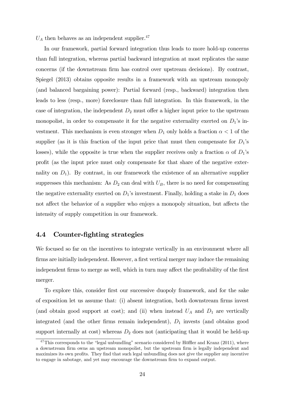$U_A$  then behaves as an independent supplier.<sup>47</sup>

In our framework, partial forward integration thus leads to more hold-up concerns than full integration, whereas partial backward integration at most replicates the same concerns (if the downstream firm has control over upstream decisions). By contrast, Spiegel (2013) obtains opposite results in a framework with an upstream monopoly (and balanced bargaining power): Partial forward (resp., backward) integration then leads to less (resp., more) foreclosure than full integration. In this framework, in the case of integration, the independent  $D_2$  must offer a higher input price to the upstream monopolist, in order to compensate it for the negative externality exerted on  $D_1$ 's investment. This mechanism is even stronger when  $D_1$  only holds a fraction  $\alpha < 1$  of the supplier (as it is this fraction of the input price that must then compensate for  $D_1$ 's losses), while the opposite is true when the supplier receives only a fraction  $\alpha$  of  $D_1$ 's profit (as the input price must only compensate for that share of the negative externality on  $D_1$ ). By contrast, in our framework the existence of an alternative supplier suppresses this mechanism: As  $D_2$  can deal with  $U_B$ , there is no need for compensating the negative externality exerted on  $D_1$ 's investment. Finally, holding a stake in  $D_1$  does not affect the behavior of a supplier who enjoys a monopoly situation, but affects the intensity of supply competition in our framework.

#### 4.4 Counter-fighting strategies

We focused so far on the incentives to integrate vertically in an environment where all firms are initially independent. However, a first vertical merger may induce the remaining independent firms to merge as well, which in turn may affect the profitability of the first merger.

To explore this, consider first our successive duopoly framework, and for the sake of exposition let us assume that: (i) absent integration, both downstream firms invest (and obtain good support at cost); and (ii) when instead  $U_A$  and  $D_1$  are vertically integrated (and the other firms remain independent),  $D_1$  invests (and obtains good support internally at cost) whereas  $D_2$  does not (anticipating that it would be held-up

 $47$ This corresponds to the "legal unbundling" scenario considered by Höffler and Kranz (2011), where a downstream firm owns an upstream monopolist, but the upstream firm is legally independent and maximizes its own profits. They find that such legal unbundling does not give the supplier any incentive to engage in sabotage, and yet may encourage the downstream firm to expand output.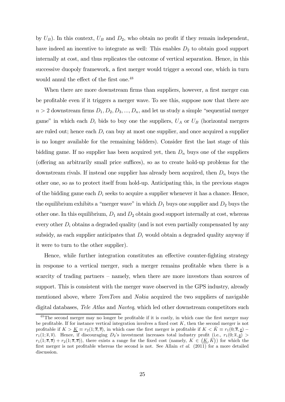by  $U_B$ ). In this context,  $U_B$  and  $D_2$ , who obtain no profit if they remain independent, have indeed an incentive to integrate as well: This enables  $D_2$  to obtain good support internally at cost, and thus replicates the outcome of vertical separation. Hence, in this successive duopoly framework, a first merger would trigger a second one, which in turn would annul the effect of the first one.<sup>48</sup>

When there are more downstream firms than suppliers, however, a first merger can be profitable even if it triggers a merger wave. To see this, suppose now that there are  $n > 2$  downstream firms  $D_1, D_2, D_3, ..., D_n$ , and let us study a simple "sequential merger game" in which each  $D_i$  bids to buy one the suppliers,  $U_A$  or  $U_B$  (horizontal mergers are ruled out; hence each  $D_i$  can buy at most one supplier, and once acquired a supplier is no longer available for the remaining bidders). Consider first the last stage of this bidding game. If no supplier has been acquired yet, then  $D_n$  buys one of the suppliers (offering an arbitrarily small price suffices), so as to create hold-up problems for the downstream rivals. If instead one supplier has already been acquired, then  $D_n$  buys the other one, so as to protect itself from hold-up. Anticipating this, in the previous stages of the bidding game each  $D_i$  seeks to acquire a supplier whenever it has a chance. Hence, the equilibrium exhibits a "merger wave" in which  $D_1$  buys one supplier and  $D_2$  buys the other one. In this equilibrium,  $D_1$  and  $D_2$  obtain good support internally at cost, whereas every other  $D_i$  obtains a degraded quality (and is not even partially compensated by any subsidy, as each supplier anticipates that  $D_i$  would obtain a degraded quality anyway if it were to turn to the other supplier).

Hence, while further integration constitutes an effective counter-fighting strategy in response to a vertical merger, such a merger remains profitable when there is a scarcity of trading partners — namely, when there are more investors than sources of support. This is consistent with the merger wave observed in the GPS industry, already mentioned above, where *TomTom* and *Nokia* acquired the two suppliers of navigable digital databases, Tele Atlas and Navteg, which led other downstream competitors such

<sup>&</sup>lt;sup>48</sup>The second merger may no longer be profitable if it is costly, in which case the first merger may be profitable. If for instance vertical integration involves a fixed cost  $K$ , then the second merger is not profitable if  $K > \underline{K} \equiv r_2(1;\overline{s},\overline{s})$ , in which case the first merger is profitable if  $K < \overline{K} \equiv r_1(0;\overline{s},\underline{s})$  $r_1(1;\overline{s},\overline{s})$ . Hence, if discouraging  $D_2$ 's investment increases total industry profit (i.e.,  $r_1(0;\overline{s},\underline{s})$ )  $r_1(1;\overline{s},\overline{s}) + r_2(1;\overline{s},\overline{s})$ , there exists a range for the fixed cost (namely,  $K \in (K, \overline{K})$ ) for which the first merger is not profitable whereas the second is not. See Allain et al. (2011) for a more detailed discussion.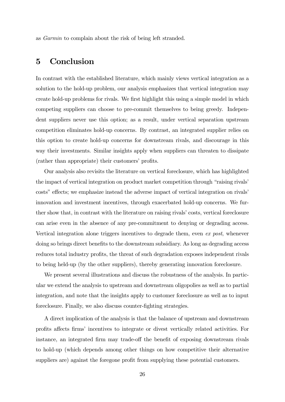as Garmin to complain about the risk of being left stranded.

# 5 Conclusion

In contrast with the established literature, which mainly views vertical integration as a solution to the hold-up problem, our analysis emphasizes that vertical integration may create hold-up problems for rivals. We first highlight this using a simple model in which competing suppliers can choose to pre-commit themselves to being greedy. Independent suppliers never use this option; as a result, under vertical separation upstream competition eliminates hold-up concerns. By contrast, an integrated supplier relies on this option to create hold-up concerns for downstream rivals, and discourage in this way their investments. Similar insights apply when suppliers can threaten to dissipate (rather than appropriate) their customers' profits.

Our analysis also revisits the literature on vertical foreclosure, which has highlighted the impact of vertical integration on product market competition through "raising rivals' costs" effects; we emphasize instead the adverse impact of vertical integration on rivals' innovation and investment incentives, through exacerbated hold-up concerns. We further show that, in contrast with the literature on raising rivals' costs, vertical foreclosure can arise even in the absence of any pre-commitment to denying or degrading access. Vertical integration alone triggers incentives to degrade them, even ex post, whenever doing so brings direct benefits to the downstream subsidiary. As long as degrading access reduces total industry profits, the threat of such degradation exposes independent rivals to being held-up (by the other suppliers), thereby generating innovation foreclosure.

We present several illustrations and discuss the robustness of the analysis. In particular we extend the analysis to upstream and downstream oligopolies as well as to partial integration, and note that the insights apply to customer foreclosure as well as to input foreclosure. Finally, we also discuss counter-fighting strategies.

A direct implication of the analysis is that the balance of upstream and downstream profits affects firms' incentives to integrate or divest vertically related activities. For instance, an integrated firm may trade-off the benefit of exposing downstream rivals to hold-up (which depends among other things on how competitive their alternative suppliers are) against the foregone profit from supplying these potential customers.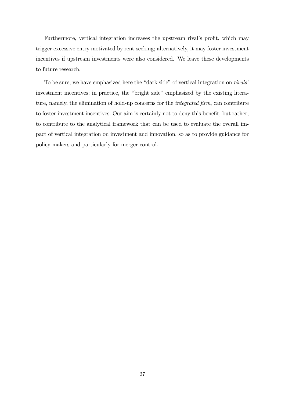Furthermore, vertical integration increases the upstream rival's profit, which may trigger excessive entry motivated by rent-seeking; alternatively, it may foster investment incentives if upstream investments were also considered. We leave these developments to future research.

To be sure, we have emphasized here the "dark side" of vertical integration on rivals' investment incentives; in practice, the "bright side" emphasized by the existing literature, namely, the elimination of hold-up concerns for the integrated firm, can contribute to foster investment incentives. Our aim is certainly not to deny this benefit, but rather, to contribute to the analytical framework that can be used to evaluate the overall impact of vertical integration on investment and innovation, so as to provide guidance for policy makers and particularly for merger control.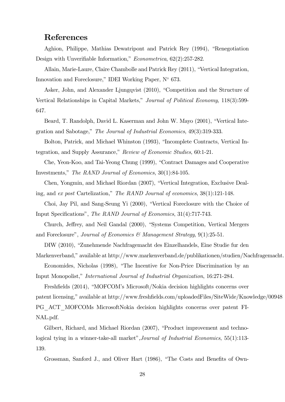### References

Aghion, Philippe, Mathias Dewatripont and Patrick Rey (1994), "Renegotiation Design with Unverifiable Information," Econometrica, 62(2):257-282.

Allain, Marie-Laure, Claire Chambolle and Patrick Rey (2011), "Vertical Integration, Innovation and Foreclosure," IDEI Working Paper, N◦ 673.

Asker, John, and Alexander Ljungqvist (2010), "Competition and the Structure of Vertical Relationships in Capital Markets," Journal of Political Economy, 118(3):599- 647.

Beard, T. Randolph, David L. Kaserman and John W. Mayo (2001), "Vertical Integration and Sabotage," The Journal of Industrial Economics, 49(3):319-333.

Bolton, Patrick, and Michael Whinston (1993), "Incomplete Contracts, Vertical Integration, and Supply Assurance," Review of Economic Studies, 60:1-21.

Che, Yeon-Koo, and Tai-Yeong Chung (1999), "Contract Damages and Cooperative Investments," The RAND Journal of Economics, 30(1):84-105.

Chen, Yongmin, and Michael Riordan (2007), "Vertical Integration, Exclusive Dealing, and ex post Cartelization," The RAND Journal of economics, 38(1):121-148.

Choi, Jay Pil, and Sang-Seung Yi (2000), "Vertical Foreclosure with the Choice of

Input Specifications", The RAND Journal of Economics, 31(4):717-743.

Church, Jeffrey, and Neil Gandal (2000), "Systems Competition, Vertical Mergers and Foreclosure", Journal of Economics & Management Strategy, 9(1):25-51.

DIW (2010), "Zunehmende Nachfragemacht des Einzelhandels, Eine Studie fur den

Markenverband," available at http://www.markenverband.de/publikationen/studien/Nachfragemacht.

Economides, Nicholas (1998), "The Incentive for Non-Price Discrimination by an

Input Monopolist," International Journal of Industrial Organization, 16:271-284.

Freshfields (2014), "MOFCOM's Microsoft/Nokia decision highlights concerns over patent licensing," available at http://www.freshfields.com/uploadedFiles/SiteWide/Knowledge/00948 PG\_ACT\_MOFCOMs MicrosoftNokia decision highlights concerns over patent FI-NAL.pdf.

Gilbert, Richard, and Michael Riordan (2007), "Product improvement and technological tying in a winner-take-all market",Journal of Industrial Economics, 55(1):113- 139.

Grossman, Sanford J., and Oliver Hart (1986), "The Costs and Benefits of Own-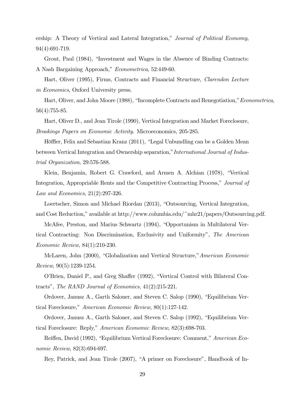ership: A Theory of Vertical and Lateral Integration," Journal of Political Economy, 94(4):691-719.

Grout, Paul (1984), "Investment and Wages in the Absence of Binding Contracts:

A Nash Bargaining Approach," Econometrica, 52:449-60.

Hart, Oliver (1995), Firms, Contracts and Financial Structure, Clarendon Lecture in Economics, Oxford University press.

Hart, Oliver, and John Moore (1988), "Incomplete Contracts and Renegotiation,"Econometrica, 56(4):755-85.

Hart, Oliver D., and Jean Tirole (1990), Vertical Integration and Market Foreclosure, Brookings Papers on Economic Activity. Microeconomics, 205-285.

Höffler, Felix and Sebastian Kranz (2011), "Legal Unbundling can be a Golden Mean between Vertical Integration and Ownership separation,"International Journal of Industrial Organization, 29:576-588.

Klein, Benjamin, Robert G. Crawford, and Armen A. Alchian (1978), "Vertical Integration, Appropriable Rents and the Competitive Contracting Process," Journal of Law and Economics, 21(2):297-326.

Loertscher, Simon and Michael Riordan (2013), "Outsourcing, Vertical Integration, and Cost Reduction," available at http://www.columbia.edu/~mhr21/papers/Outsourcing.pdf.

McAfee, Preston, and Marius Schwartz (1994), "Opportunism in Multilateral Vertical Contracting: Non Discrimination, Exclusivity and Uniformity", The American Economic Review, 84(1):210-230.

McLaren, John (2000), "Globalization and Vertical Structure,"American Economic Review, 90(5):1239-1254.

O'Brien, Daniel P., and Greg Shaffer (1992), "Vertical Control with Bilateral Contracts", The RAND Journal of Economics, 41(2):215-221.

Ordover, Janusz A., Garth Saloner, and Steven C. Salop (1990), "Equilibrium Vertical Foreclosure," American Economic Review, 80(1):127-142.

Ordover, Janusz A., Garth Saloner, and Steven C. Salop (1992), "Equilibrium Vertical Foreclosure: Reply," American Economic Review, 82(3):698-703.

Reiffen, David (1992), "Equilibrium Vertical Foreclosure: Comment," American Economic Review, 82(3):694-697.

Rey, Patrick, and Jean Tirole (2007), "A primer on Foreclosure", Handbook of In-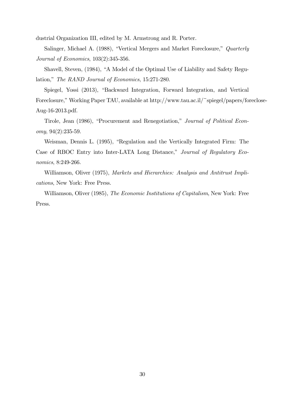dustrial Organization III, edited by M. Armstrong and R. Porter.

Salinger, Michael A. (1988), "Vertical Mergers and Market Foreclosure," Quarterly Journal of Economics, 103(2):345-356.

Shavell, Steven, (1984), "A Model of the Optimal Use of Liability and Safety Regulation," The RAND Journal of Economics, 15:271-280.

Spiegel, Yossi (2013), "Backward Integration, Forward Integration, and Vertical Foreclosure," Working Paper TAU, available at http://www.tau.ac.il/~spiegel/papers/foreclose-Aug-16-2013.pdf.

Tirole, Jean (1986), "Procurement and Renegotiation," Journal of Political Economy, 94(2):235-59.

Weisman, Dennis L. (1995), "Regulation and the Vertically Integrated Firm: The Case of RBOC Entry into Inter-LATA Long Distance," Journal of Regulatory Economics, 8:249-266.

Williamson, Oliver (1975), Markets and Hierarchies: Analysis and Antitrust Implications, New York: Free Press.

Williamson, Oliver (1985), The Economic Institutions of Capitalism, New York: Free Press.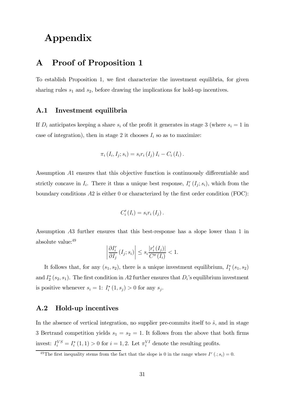# Appendix

## A Proof of Proposition 1

To establish Proposition 1, we first characterize the investment equilibria, for given sharing rules  $s_1$  and  $s_2$ , before drawing the implications for hold-up incentives.

#### A.1 Investment equilibria

If  $D_i$  anticipates keeping a share  $s_i$  of the profit it generates in stage 3 (where  $s_i = 1$  in case of integration), then in stage 2 it chooses  $I_i$  so as to maximize:

$$
\pi_{i} (I_{i}, I_{j}; s_{i}) = s_{i} r_{i} (I_{j}) I_{i} - C_{i} (I_{i}).
$$

Assumption A1 ensures that this objective function is continuously differentiable and strictly concave in  $I_i$ . There it thus a unique best response,  $I_i^r(I_j; s_i)$ , which from the boundary conditions  $A2$  is either 0 or characterized by the first order condition (FOC):

$$
C'_{i}(I_{i})=s_{i}r_{i}(I_{j}).
$$

Assumption A3 further ensures that this best-response has a slope lower than 1 in absolute value: 49

$$
\left| \frac{\partial I_i^r}{\partial I_j} \left( I_j; s_i \right) \right| \le s_i \frac{|r'_i(I_j)|}{C''(I_i)} < 1.
$$

It follows that, for any  $(s_1, s_2)$ , there is a unique investment equilibrium,  $I_1^*(s_1, s_2)$ and  $I_2^*(s_2, s_1)$ . The first condition in A2 further ensures that  $D_i$ 's equilibrium investment is positive whenever  $s_i = 1$ :  $I_i^*(1, s_j) > 0$  for any  $s_j$ .

#### A.2 Hold-up incentives

In the absence of vertical integration, no supplier pre-commits itself to  $\hat{s}$ , and in stage 3 Bertrand competition yields  $s_1 = s_2 = 1$ . It follows from the above that both firms invest:  $I_i^{VS} = I_i^*(1,1) > 0$  for  $i = 1,2$ . Let  $\pi_i^{VI}$  denote the resulting profits.

<sup>&</sup>lt;sup>49</sup>The first inequality stems from the fact that the slope is 0 in the range where  $I^r(.; s_i) = 0$ .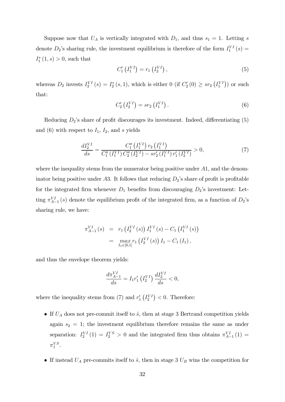Suppose now that  $U_A$  is vertically integrated with  $D_1$ , and thus  $s_1 = 1$ . Letting s denote  $D_2$ 's sharing rule, the investment equilibrium is therefore of the form  $I_1^{VI}(s)$  =  $I_1^*(1, s) > 0$ , such that

$$
C'_{1}(I_{1}^{VI}) = r_{1}(I_{2}^{VI}), \qquad (5)
$$

whereas  $D_2$  invests  $I_2^{VI}(s) = I_2^*(s, 1)$ , which is either 0 (if  $C_2'(0) \geq sr_2(I_1^{VI})$ ) or such that:

$$
C'_{2}(I_{2}^{VI}) = sr_{2}(I_{1}^{VI}).
$$
\n(6)

Reducing  $D_2$ 's share of profit discourages its investment. Indeed, differentiating  $(5)$ and (6) with respect to  $I_1$ ,  $I_2$ , and s yields

$$
\frac{dI_2^{VI}}{ds} = \frac{C_1''(I_1^{VI}) r_2(I_1^{VI})}{C_1''(I_1^{VI}) C_2''(I_2^{VI}) - s r_2'(I_1^{VI}) r_1'(I_2^{VI})} > 0,
$$
\n(7)

where the inequality stems from the numerator being positive under  $A1$ , and the denominator being positive under A3. It follows that reducing  $D_2$ 's share of profit is profitable for the integrated firm whenever  $D_1$  benefits from discouraging  $D_2$ 's investment: Letting  $\pi_{A-1}^{VI}(s)$  denote the equilibrium profit of the integrated firm, as a function of  $D_2$ 's sharing rule, we have:

$$
\pi_{A-1}^{VI}(s) = r_1(I_2^{VI}(s)) I_1^{VI}(s) - C_1(I_1^{VI}(s))
$$
  
= 
$$
\max_{I_1 \in [0,1]} r_1(I_2^{VI}(s)) I_1 - C_1(I_1),
$$

and thus the envelope theorem yields:

$$
\frac{d\pi_{A-1}^{VI}}{ds} = I_1 r_1' \left( I_2^{VI} \right) \frac{dI_2^{VI}}{ds} < 0,
$$

where the inequality stems from (7) and  $r'_1\left(I_2^{VI}\right) < 0$ . Therefore:

- If  $U_A$  does not pre-commit itself to  $\hat{s}$ , then at stage 3 Bertrand competition yields again  $s_2 = 1$ ; the investment equilibrium therefore remains the same as under separation:  $I_2^{VI}(1) = I_2^{VS} > 0$  and the integrated firm thus obtains  $\pi_{A-1}^{VI}(1) =$  $\pi_1^{VS}$ .
- If instead  $U_A$  pre-commits itself to  $\hat{s}$ , then in stage 3  $U_B$  wins the competition for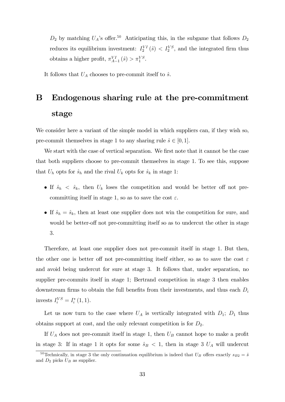$D_2$  by matching  $U_A$ 's offer.<sup>50</sup> Anticipating this, in the subgame that follows  $D_2$ reduces its equilibrium investment:  $I_2^{VI}(\hat{s}) < I_2^{VS}$ , and the integrated firm thus obtains a higher profit,  $\pi_{A-1}^{VI}(\hat{s}) > \pi_1^{VS}$ .

It follows that  $U_A$  chooses to pre-commit itself to  $\hat{s}$ .

# B Endogenous sharing rule at the pre-commitment stage

We consider here a variant of the simple model in which suppliers can, if they wish so, pre-commit themselves in stage 1 to any sharing rule  $\hat{s} \in [0,1]$ .

We start with the case of vertical separation. We first note that it cannot be the case that both suppliers choose to pre-commit themselves in stage 1. To see this, suppose that  $U_h$  opts for  $\hat{s}_h$  and the rival  $U_k$  opts for  $\hat{s}_k$  in stage 1:

- If  $\hat{s}_h$  <  $\hat{s}_k$ , then  $U_k$  loses the competition and would be better off not precommitting itself in stage 1, so as to save the cost  $\varepsilon$ .
- If  $\hat{s}_h = \hat{s}_k$ , then at least one supplier does not win the competition for sure, and would be better-off not pre-committing itself so as to undercut the other in stage 3.

Therefore, at least one supplier does not pre-commit itself in stage 1. But then, the other one is better off not pre-committing itself either, so as to save the cost  $\varepsilon$ and avoid being undercut for sure at stage 3. It follows that, under separation, no supplier pre-commits itself in stage 1; Bertrand competition in stage 3 then enables downstream firms to obtain the full benefits from their investments, and thus each  $D_i$ invests  $I_i^{VS} = I_i^*(1, 1)$ .

Let us now turn to the case where  $U_A$  is vertically integrated with  $D_1$ ;  $D_1$  thus obtains support at cost, and the only relevant competition is for  $D_2$ .

If  $U_A$  does not pre-commit itself in stage 1, then  $U_B$  cannot hope to make a profit in stage 3: If in stage 1 it opts for some  $\hat{s}_B < 1$ , then in stage 3  $U_A$  will undercut

<sup>&</sup>lt;sup>50</sup>Technically, in stage 3 the only continuation equilibrium is indeed that  $U_B$  offers exactly  $s_{B2} = \hat{s}$ and  $D_2$  picks  $U_B$  as supplier.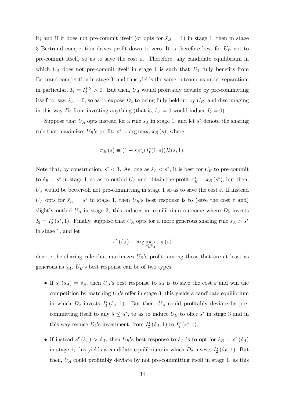it; and if it does not pre-commit itself (or opts for  $\hat{s}_B = 1$ ) in stage 1, then in stage 3 Bertrand competition drives profit down to zero. It is therefore best for  $U_B$  not to pre-commit itself, so as to save the cost  $\varepsilon$ . Therefore, any candidate equilibrium in which  $U_A$  does not pre-commit itself in stage 1 is such that  $D_2$  fully benefits from Bertrand competition in stage 3, and thus yields the same outcome as under separation; in particular,  $I_2 = I_2^{VS} > 0$ . But then,  $U_A$  would profitably deviate by pre-committing itself to, say,  $\hat{s}_A = 0$ , so as to expose  $D_2$  to being fully held-up by  $U_B$ , and discouraging in this way  $D_2$  from investing anything (that is,  $\hat{s}_A = 0$  would induce  $I_2 = 0$ ).

Suppose that  $U_A$  opts instead for a rule  $\hat{s}_A$  in stage 1, and let  $s^*$  denote the sharing rule that maximizes  $U_B$ 's profit:  $s^* = \arg \max_s \pi_B(s)$ , where

$$
\pi_B(s) \equiv (1-s)r_2(I_1^*(1,s))I_2^*(s,1).
$$

Note that, by construction,  $s^* < 1$ . As long as  $\hat{s}_A < s^*$ , it is best for  $U_B$  to pre-commit to  $\hat{s}_B = s^*$  in stage 1, so as to outbid  $U_A$  and obtain the profit  $\pi_B^* = \pi_B(s^*)$ ; but then,  $U_A$  would be better-off not pre-committing in stage 1 so as to save the cost  $\varepsilon$ . If instead  $U_A$  opts for  $\hat{s}_A = s^*$  in stage 1, then  $U_B$ 's best response is to (save the cost  $\varepsilon$  and) slightly outbid  $U_A$  in stage 3; this induces an equilibrium outcome where  $D_2$  invests  $I_2 = I_2^*(s^*, 1)$ . Finally, suppose that  $U_A$  opts for a more generous sharing rule  $\hat{s}_A > s^*$ in stage 1, and let

$$
s^{r}(\hat{s}_{A}) \equiv \arg\max_{s \ge \hat{s}_{A}} \pi_{B}(s)
$$

denote the sharing rule that maximizes  $U_B$ 's profit, among those that are at least as generous as  $\hat{s}_A$ .  $U_B$ 's best response can be of two types:

- If  $s^r(\hat{s}_A)=\hat{s}_A$ , then  $U_B$ 's best response to  $\hat{s}_A$  is to save the cost  $\varepsilon$  and win the competition by matching  $U_A$ 's offer in stage 3; this yields a candidate equilibrium in which  $D_2$  invests  $I_2^*(\hat{s}_A, 1)$ . But then,  $U_A$  could profitably deviate by precommitting itself to any  $\hat{s} \leq s^*$ , to as to induce  $U_B$  to offer  $s^*$  in stage 3 and in this way reduce  $D_2$ 's investment, from  $I_2^*(\hat{s}_A, 1)$  to  $I_2^*(s^*, 1)$ .
- If instead  $s^r(\hat{s}_A) > \hat{s}_A$ , then  $U_B$ 's best response to  $\hat{s}_A$  is to opt for  $\hat{s}_B = s^r(\hat{s}_A)$ in stage 1; this yields a candidate equilibrium in which  $D_2$  invests  $I_2^*(\hat{s}_B, 1)$ . But then,  $U_A$  could profitably deviate by not pre-committing itself in stage 1, as this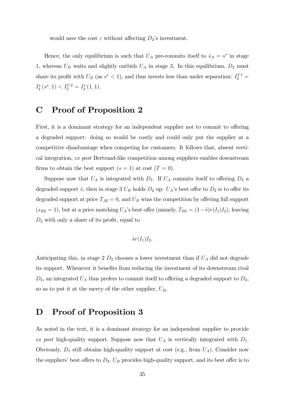would save the cost  $\varepsilon$  without affecting  $D_2$ 's investment.

Hence, the only equilibrium is such that  $U_A$  pre-commits itself to  $\hat{s}_A = s^*$  in stage 1, whereas  $U_B$  waits and slightly outbids  $U_A$  in stage 3. In this equilibrium,  $D_2$  must share its profit with  $U_B$  (as  $s^* < 1$ ), and thus invests less than under separation:  $I_2^{VI} =$  $I_2^*(s^*, 1) < I_2^{VS} = I_2^*(1, 1).$ 

# C Proof of Proposition 2

First, it is a dominant strategy for an independent supplier not to commit to offering a degraded support: doing so would be costly and could only put the supplier at a competitive disadvantage when competing for customers. It follows that, absent vertical integration, ex post Bertrand-like competition among suppliers enables downstream firms to obtain the best support  $(s = 1)$  at cost  $(T = 0)$ .

Suppose now that  $U_A$  is integrated with  $D_1$ . If  $U_A$  commits itself to offering  $D_2$  a degraded support  $\hat{s}$ , then in stage 3  $U_B$  holds  $D_2$  up:  $U_A$ 's best offer to  $D_2$  is to offer its degraded support at price  $T_{A2} = 0$ , and  $U_B$  wins the competition by offering full support  $(s_{B2} = 1)$ , but at a price matching  $U_A$ 's best offer (namely,  $T_{B2} = (1-\hat{s})r(I_1)I_2$ ), leaving  $D_2$  with only a share of its profit, equal to

$$
\hat{s}r(I_1)I_2.
$$

Anticipating this, in stage  $2 D_2$  chooses a lower investment than if  $U_A$  did not degrade its support. Whenever it benefits from reducing the investment of its downstream rival  $D_2$ , an integrated  $U_A$  thus prefers to commit itself to offering a degraded support to  $D_2$ , so as to put it at the mercy of the other supplier,  $U_B$ .

## D Proof of Proposition 3

As noted in the text, it is a dominant strategy for an independent supplier to provide ex post high-quality support. Suppose now that  $U_A$  is vertically integrated with  $D_1$ . Obviously,  $D_1$  still obtains high-quality support at cost (e.g., from  $U_A$ ). Consider now the suppliers' best offers to  $D_2$ .  $U_B$  provides high-quality support, and its best offer is to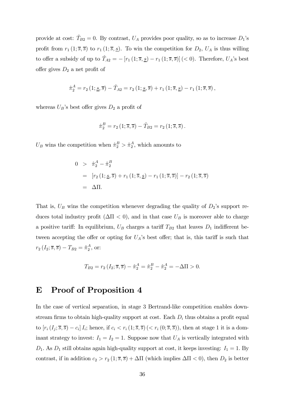provide at cost:  $\hat{T}_{B2} = 0$ . By contrast,  $U_A$  provides poor quality, so as to increase  $D_1$ 's profit from  $r_1 (1; \overline{s}, \overline{s})$  to  $r_1 (1; \overline{s}, \underline{s})$ . To win the competition for  $D_2$ ,  $U_A$  is thus willing to offer a subsidy of up to  $\hat{T}_{A2} = -[r_1(1;\overline{s},\underline{s}) - r_1(1;\overline{s},\overline{s})]$  (< 0). Therefore,  $U_A$ 's best offer gives  $D_2$  a net profit of

$$
\hat{\pi}_2^A = r_2(1; \underline{s}, \overline{s}) - \hat{T}_{A2} = r_2(1; \underline{s}, \overline{s}) + r_1(1; \overline{s}, \underline{s}) - r_1(1; \overline{s}, \overline{s}),
$$

whereas  $U_B$ 's best offer gives  $D_2$  a profit of

$$
\hat{\pi}_2^B = r_2(1; \overline{s}, \overline{s}) - \hat{T}_{B2} = r_2(1; \overline{s}, \overline{s}).
$$

 $U_B$  wins the competition when  $\hat{\pi}_2^B > \hat{\pi}_2^A$ , which amounts to

$$
0 > \hat{\pi}_2^A - \hat{\pi}_2^B
$$
  
=  $[r_2 (1; \underline{s}, \overline{s}) + r_1 (1; \overline{s}, \underline{s}) - r_1 (1; \overline{s}, \overline{s})] - r_2 (1; \overline{s}, \overline{s})$   
=  $\Delta \Pi$ .

That is,  $U_B$  wins the competition whenever degrading the quality of  $D_2$ 's support reduces total industry profit ( $\Delta \Pi < 0$ ), and in that case  $U_B$  is moreover able to charge a positive tariff: In equilibrium,  $U_B$  charges a tariff  $T_{B2}$  that leaves  $D_1$  indifferent between accepting the offer or opting for  $U_A$ 's best offer; that is, this tariff is such that  $r_2(I_2; \overline{s}, \overline{s}) - T_{B2} = \hat{\pi}_2^A$ , or:

$$
T_{B2} = r_2 (I_2; \overline{s}, \overline{s}) - \hat{\pi}_2^A = \hat{\pi}_2^B - \hat{\pi}_2^A = -\Delta \Pi > 0.
$$

### E Proof of Proposition 4

In the case of vertical separation, in stage 3 Bertrand-like competition enables downstream firms to obtain high-quality support at cost. Each  $D_i$  thus obtains a profit equal to  $[r_i (I_j; \overline{s}, \overline{s}) - c_i] I_i$ ; hence, if  $c_i < r_i (1; \overline{s}, \overline{s})$  ( $\langle r_i (0; \overline{s}, \overline{s}) \rangle$ , then at stage 1 it is a dominant strategy to invest:  $I_1 = I_2 = 1$ . Suppose now that  $U_A$  is vertically integrated with  $D_1$ . As  $D_1$  still obtains again high-quality support at cost, it keeps investing:  $I_1 = 1$ . By contrast, if in addition  $c_2 > r_2 (1; \overline{s}, \overline{s}) + \Delta \Pi$  (which implies  $\Delta \Pi < 0$ ), then  $D_2$  is better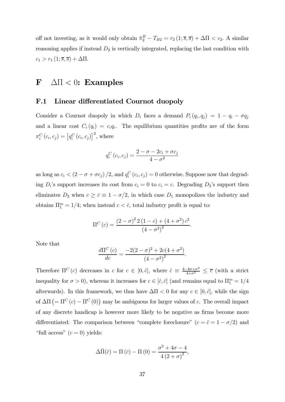off not investing, as it would only obtain  $\hat{\pi}_2^B - T_{B2} = r_2 (1; \overline{s}, \overline{s}) + \Delta \Pi < c_2$ . A similar reasoning applies if instead  $D_2$  is vertically integrated, replacing the last condition with  $c_1 > r_1 (1; \overline{s}, \overline{s}) + \Delta \Pi.$ 

## $\mathbf{F}$   $\Delta \Pi < 0$ : Examples

#### F.1 Linear differentiated Cournot duopoly

Consider a Cournot duopoly in which  $D_i$  faces a demand  $P_i(q_i, q_j) = 1 - q_i - \sigma q_j$ and a linear cost  $C_i(q_i) = c_i q_i$ . The equilibrium quantities profits are of the form  $\pi_{i}^{C}\left(c_{i}, c_{j}\right)=\left[q_{i}^{C}\left(c_{i}, c_{j}\right)\right]^{2}$ , where

$$
q_i^C(c_i, c_j) = \frac{2 - \sigma - 2c_i + \sigma c_j}{4 - \sigma^2}
$$

as long as  $c_i < (2 - \sigma + \sigma c_j) / 2$ , and  $q_i^C(c_i, c_j) = 0$  otherwise. Suppose now that degrading  $D_i$ 's support increases its cost from  $c_i = 0$  to  $c_i = c$ . Degrading  $D_2$ 's support then eliminates  $D_2$  when  $c \ge \bar{c} \equiv 1 - \sigma/2$ , in which case  $D_1$  monopolizes the industry and obtains  $\Pi_1^m = 1/4$ ; when instead  $c < \bar{c}$ , total industry profit is equal to:

$$
\Pi^{C}(c) = \frac{(2-\sigma)^{2} 2 (1-c) + (4+\sigma^{2}) c^{2}}{(4-\sigma^{2})^{2}}.
$$

Note that

$$
\frac{d\Pi^C(c)}{dc} = \frac{-2(2-\sigma)^2 + 2c(4+\sigma^2)}{(4-\sigma^2)^2}.
$$

Therefore  $\Pi^C(c)$  decreases in  $c$  for  $c \in [0, \hat{c}]$ , where  $\hat{c} \equiv \frac{4-4\sigma+\sigma^2}{4+\sigma^2} \leq \overline{c}$  (with a strict inequality for  $\sigma > 0$ ), whereas it increases for  $c \in [\hat{c}, \bar{c}]$  (and remains equal to  $\Pi_1^m = 1/4$ afterwards). In this framework, we thus have  $\Delta \Pi < 0$  for any  $c \in [0, \hat{c}]$ , while the sign of  $\Delta\Pi$  (=  $\Pi^C$  (c) –  $\Pi^C$  (0)) may be ambiguous for larger values of c. The overall impact of any discrete handicap is however more likely to be negative as firms become more differentiated: The comparison between "complete foreclosure"  $(c = \bar{c} = 1 - \sigma/2)$  and "full access"  $(c = 0)$  yields:

$$
\Delta \bar{\Pi}(\bar{c}) = \Pi(\bar{c}) - \Pi(0) = \frac{\sigma^2 + 4\sigma - 4}{4(2+\sigma)^2},
$$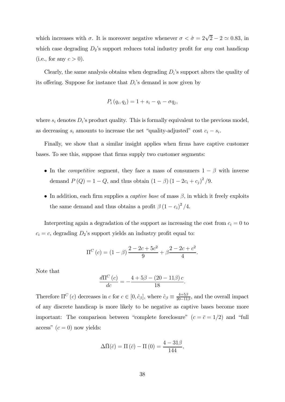which increases with  $\sigma$ . It is moreover negative whenever  $\sigma < \hat{\sigma} = 2\sqrt{2} - 2 \simeq 0.83$ , in which case degrading  $D_2$ 's support reduces total industry profit for any cost handicap (i.e., for any  $c > 0$ ).

Clearly, the same analysis obtains when degrading  $D_i$ 's support alters the quality of its offering. Suppose for instance that  $D_i$ 's demand is now given by

$$
P_i(q_i, q_j) = 1 + s_i - q_i - \sigma q_j,
$$

where  $s_i$  denotes  $D_i$ 's product quality. This is formally equivalent to the previous model, as decreasing  $s_i$  amounts to increase the net "quality-adjusted" cost  $c_i - s_i$ .

Finally, we show that a similar insight applies when firms have captive customer bases. To see this, suppose that firms supply two customer segments:

- In the *competitive* segment, they face a mass of consumers  $1 \beta$  with inverse demand  $P(Q) = 1 - Q$ , and thus obtain  $(1 - \beta) (1 - 2c_i + c_j)^2 / 9$ .
- In addition, each firm supplies a *captive base* of mass  $\beta$ , in which it freely exploits the same demand and thus obtains a profit  $\beta (1 - c_i)^2 / 4$ .

Interpreting again a degradation of the support as increasing the cost from  $c_i = 0$  to  $c_i = c$ , degrading  $D_2$ 's support yields an industry profit equal to:

$$
\Pi^{C}(c) = (1 - \beta) \frac{2 - 2c + 5c^{2}}{9} + \beta \frac{2 - 2c + c^{2}}{4}.
$$

Note that

$$
\frac{d\Pi^C(c)}{dc} = -\frac{4 + 5\beta - (20 - 11\beta)c}{18}.
$$

Therefore  $\Pi^C(c)$  decreases in  $c$  for  $c \in [0, \hat{c}_{\beta}]$ , where  $\hat{c}_{\beta} \equiv \frac{4+5\beta}{20-11\beta}$ , and the overall impact of any discrete handicap is more likely to be negative as captive bases become more important: The comparison between "complete foreclosure"  $(c = \bar{c} = 1/2)$  and "full access"  $(c = 0)$  now yields:

$$
\Delta \bar{\Pi}(\bar{c}) = \Pi (\bar{c}) - \Pi (0) = \frac{4 - 31\beta}{144},
$$